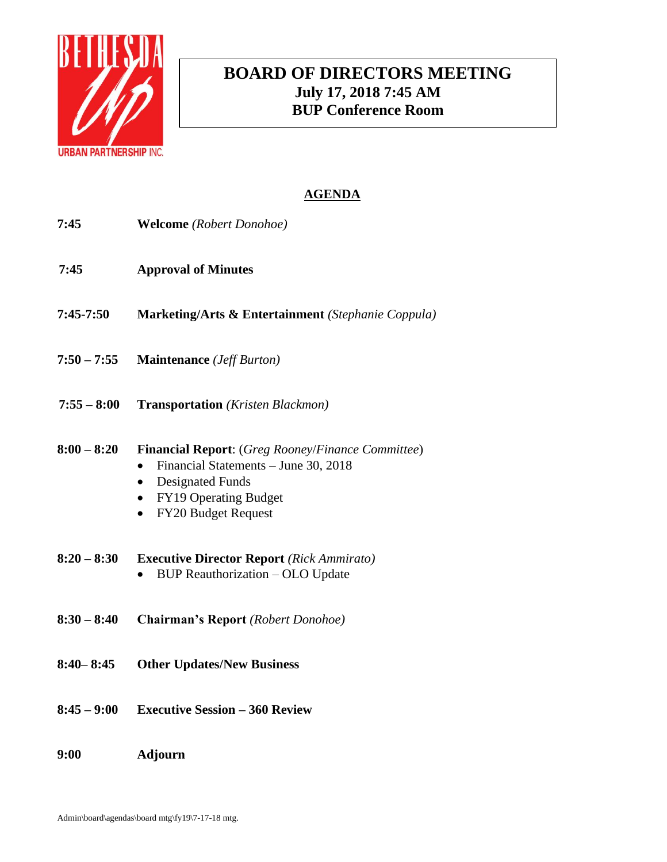

# **BOARD OF DIRECTORS MEETING July 17, 2018 7:45 AM BUP Conference Room**

| 7:45          | <b>Welcome</b> (Robert Donohoe)                                                                                                                                                                                                 |
|---------------|---------------------------------------------------------------------------------------------------------------------------------------------------------------------------------------------------------------------------------|
| 7:45          | <b>Approval of Minutes</b>                                                                                                                                                                                                      |
| $7:45-7:50$   | <b>Marketing/Arts &amp; Entertainment</b> (Stephanie Coppula)                                                                                                                                                                   |
| $7:50 - 7:55$ | <b>Maintenance</b> ( <i>Jeff Burton</i> )                                                                                                                                                                                       |
| $7:55 - 8:00$ | <b>Transportation</b> (Kristen Blackmon)                                                                                                                                                                                        |
| $8:00 - 8:20$ | <b>Financial Report:</b> (Greg Rooney/Finance Committee)<br>Financial Statements - June 30, 2018<br>$\bullet$<br><b>Designated Funds</b><br>$\bullet$<br>FY19 Operating Budget<br>$\bullet$<br>FY20 Budget Request<br>$\bullet$ |
| $8:20 - 8:30$ | <b>Executive Director Report</b> (Rick Ammirato)<br><b>BUP Reauthorization - OLO Update</b>                                                                                                                                     |
| $8:30 - 8:40$ | <b>Chairman's Report</b> (Robert Donohoe)                                                                                                                                                                                       |
| $8:40 - 8:45$ | <b>Other Updates/New Business</b>                                                                                                                                                                                               |
| $8:45 - 9:00$ | <b>Executive Session - 360 Review</b>                                                                                                                                                                                           |
| 9:00          | <b>Adjourn</b>                                                                                                                                                                                                                  |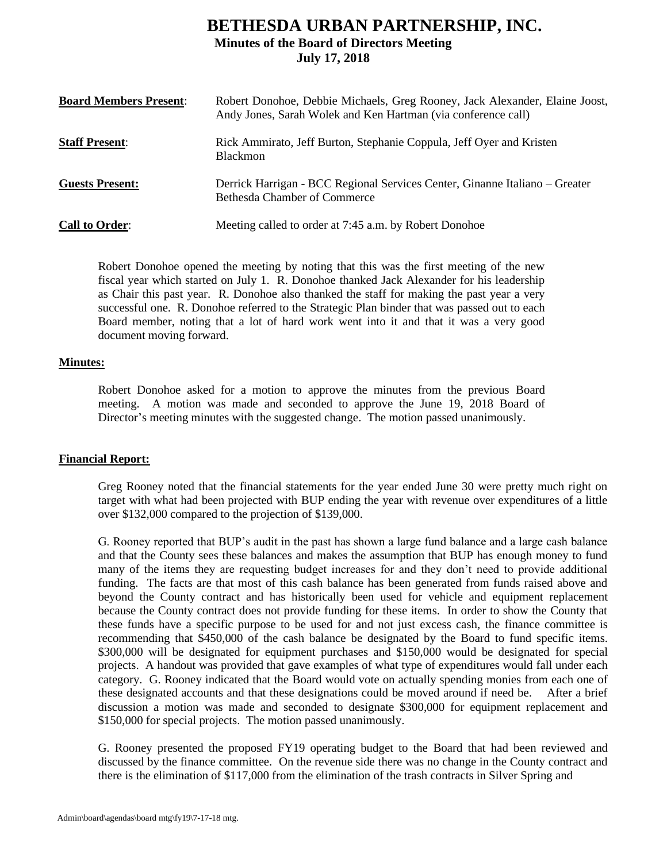# **BETHESDA URBAN PARTNERSHIP, INC. Minutes of the Board of Directors Meeting July 17, 2018**

| <b>Board Members Present:</b> | Robert Donohoe, Debbie Michaels, Greg Rooney, Jack Alexander, Elaine Joost,<br>Andy Jones, Sarah Wolek and Ken Hartman (via conference call) |
|-------------------------------|----------------------------------------------------------------------------------------------------------------------------------------------|
| <b>Staff Present:</b>         | Rick Ammirato, Jeff Burton, Stephanie Coppula, Jeff Oyer and Kristen<br><b>Blackmon</b>                                                      |
| <b>Guests Present:</b>        | Derrick Harrigan - BCC Regional Services Center, Ginanne Italiano – Greater<br><b>Bethesda Chamber of Commerce</b>                           |
| <b>Call to Order:</b>         | Meeting called to order at 7:45 a.m. by Robert Donohoe                                                                                       |

Robert Donohoe opened the meeting by noting that this was the first meeting of the new fiscal year which started on July 1. R. Donohoe thanked Jack Alexander for his leadership as Chair this past year. R. Donohoe also thanked the staff for making the past year a very successful one. R. Donohoe referred to the Strategic Plan binder that was passed out to each Board member, noting that a lot of hard work went into it and that it was a very good document moving forward.

### **Minutes:**

Robert Donohoe asked for a motion to approve the minutes from the previous Board meeting. A motion was made and seconded to approve the June 19, 2018 Board of Director's meeting minutes with the suggested change. The motion passed unanimously.

## **Financial Report:**

Greg Rooney noted that the financial statements for the year ended June 30 were pretty much right on target with what had been projected with BUP ending the year with revenue over expenditures of a little over \$132,000 compared to the projection of \$139,000.

G. Rooney reported that BUP's audit in the past has shown a large fund balance and a large cash balance and that the County sees these balances and makes the assumption that BUP has enough money to fund many of the items they are requesting budget increases for and they don't need to provide additional funding. The facts are that most of this cash balance has been generated from funds raised above and beyond the County contract and has historically been used for vehicle and equipment replacement because the County contract does not provide funding for these items. In order to show the County that these funds have a specific purpose to be used for and not just excess cash, the finance committee is recommending that \$450,000 of the cash balance be designated by the Board to fund specific items. \$300,000 will be designated for equipment purchases and \$150,000 would be designated for special projects. A handout was provided that gave examples of what type of expenditures would fall under each category. G. Rooney indicated that the Board would vote on actually spending monies from each one of these designated accounts and that these designations could be moved around if need be. After a brief discussion a motion was made and seconded to designate \$300,000 for equipment replacement and \$150,000 for special projects. The motion passed unanimously.

G. Rooney presented the proposed FY19 operating budget to the Board that had been reviewed and discussed by the finance committee. On the revenue side there was no change in the County contract and there is the elimination of \$117,000 from the elimination of the trash contracts in Silver Spring and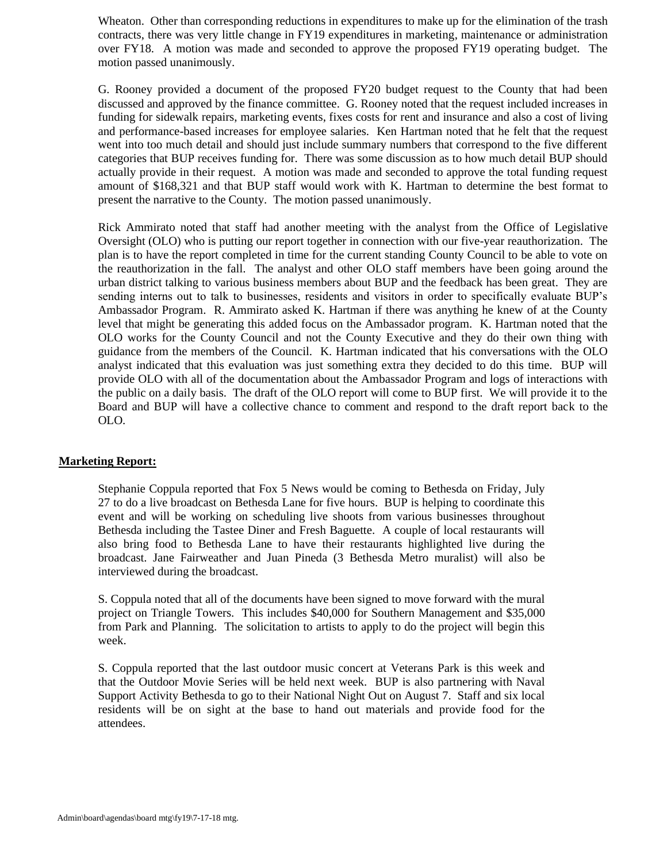Wheaton. Other than corresponding reductions in expenditures to make up for the elimination of the trash contracts, there was very little change in FY19 expenditures in marketing, maintenance or administration over FY18. A motion was made and seconded to approve the proposed FY19 operating budget. The motion passed unanimously.

G. Rooney provided a document of the proposed FY20 budget request to the County that had been discussed and approved by the finance committee. G. Rooney noted that the request included increases in funding for sidewalk repairs, marketing events, fixes costs for rent and insurance and also a cost of living and performance-based increases for employee salaries. Ken Hartman noted that he felt that the request went into too much detail and should just include summary numbers that correspond to the five different categories that BUP receives funding for. There was some discussion as to how much detail BUP should actually provide in their request. A motion was made and seconded to approve the total funding request amount of \$168,321 and that BUP staff would work with K. Hartman to determine the best format to present the narrative to the County. The motion passed unanimously.

Rick Ammirato noted that staff had another meeting with the analyst from the Office of Legislative Oversight (OLO) who is putting our report together in connection with our five-year reauthorization. The plan is to have the report completed in time for the current standing County Council to be able to vote on the reauthorization in the fall. The analyst and other OLO staff members have been going around the urban district talking to various business members about BUP and the feedback has been great. They are sending interns out to talk to businesses, residents and visitors in order to specifically evaluate BUP's Ambassador Program. R. Ammirato asked K. Hartman if there was anything he knew of at the County level that might be generating this added focus on the Ambassador program. K. Hartman noted that the OLO works for the County Council and not the County Executive and they do their own thing with guidance from the members of the Council. K. Hartman indicated that his conversations with the OLO analyst indicated that this evaluation was just something extra they decided to do this time. BUP will provide OLO with all of the documentation about the Ambassador Program and logs of interactions with the public on a daily basis. The draft of the OLO report will come to BUP first. We will provide it to the Board and BUP will have a collective chance to comment and respond to the draft report back to the OLO.

## **Marketing Report:**

Stephanie Coppula reported that Fox 5 News would be coming to Bethesda on Friday, July 27 to do a live broadcast on Bethesda Lane for five hours. BUP is helping to coordinate this event and will be working on scheduling live shoots from various businesses throughout Bethesda including the Tastee Diner and Fresh Baguette. A couple of local restaurants will also bring food to Bethesda Lane to have their restaurants highlighted live during the broadcast. Jane Fairweather and Juan Pineda (3 Bethesda Metro muralist) will also be interviewed during the broadcast.

S. Coppula noted that all of the documents have been signed to move forward with the mural project on Triangle Towers. This includes \$40,000 for Southern Management and \$35,000 from Park and Planning. The solicitation to artists to apply to do the project will begin this week.

S. Coppula reported that the last outdoor music concert at Veterans Park is this week and that the Outdoor Movie Series will be held next week. BUP is also partnering with Naval Support Activity Bethesda to go to their National Night Out on August 7. Staff and six local residents will be on sight at the base to hand out materials and provide food for the attendees.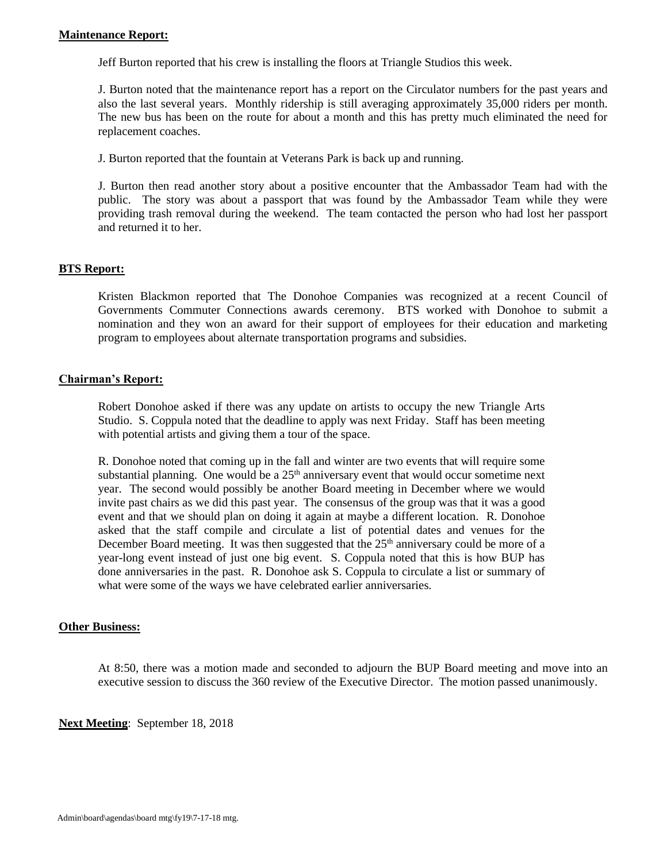Jeff Burton reported that his crew is installing the floors at Triangle Studios this week.

J. Burton noted that the maintenance report has a report on the Circulator numbers for the past years and also the last several years. Monthly ridership is still averaging approximately 35,000 riders per month. The new bus has been on the route for about a month and this has pretty much eliminated the need for replacement coaches.

J. Burton reported that the fountain at Veterans Park is back up and running.

J. Burton then read another story about a positive encounter that the Ambassador Team had with the public. The story was about a passport that was found by the Ambassador Team while they were providing trash removal during the weekend. The team contacted the person who had lost her passport and returned it to her.

## **BTS Report:**

Kristen Blackmon reported that The Donohoe Companies was recognized at a recent Council of Governments Commuter Connections awards ceremony. BTS worked with Donohoe to submit a nomination and they won an award for their support of employees for their education and marketing program to employees about alternate transportation programs and subsidies.

## **Chairman's Report:**

Robert Donohoe asked if there was any update on artists to occupy the new Triangle Arts Studio. S. Coppula noted that the deadline to apply was next Friday. Staff has been meeting with potential artists and giving them a tour of the space.

R. Donohoe noted that coming up in the fall and winter are two events that will require some substantial planning. One would be a  $25<sup>th</sup>$  anniversary event that would occur sometime next year. The second would possibly be another Board meeting in December where we would invite past chairs as we did this past year. The consensus of the group was that it was a good event and that we should plan on doing it again at maybe a different location. R. Donohoe asked that the staff compile and circulate a list of potential dates and venues for the December Board meeting. It was then suggested that the  $25<sup>th</sup>$  anniversary could be more of a year-long event instead of just one big event. S. Coppula noted that this is how BUP has done anniversaries in the past. R. Donohoe ask S. Coppula to circulate a list or summary of what were some of the ways we have celebrated earlier anniversaries.

## **Other Business:**

At 8:50, there was a motion made and seconded to adjourn the BUP Board meeting and move into an executive session to discuss the 360 review of the Executive Director. The motion passed unanimously.

**Next Meeting**: September 18, 2018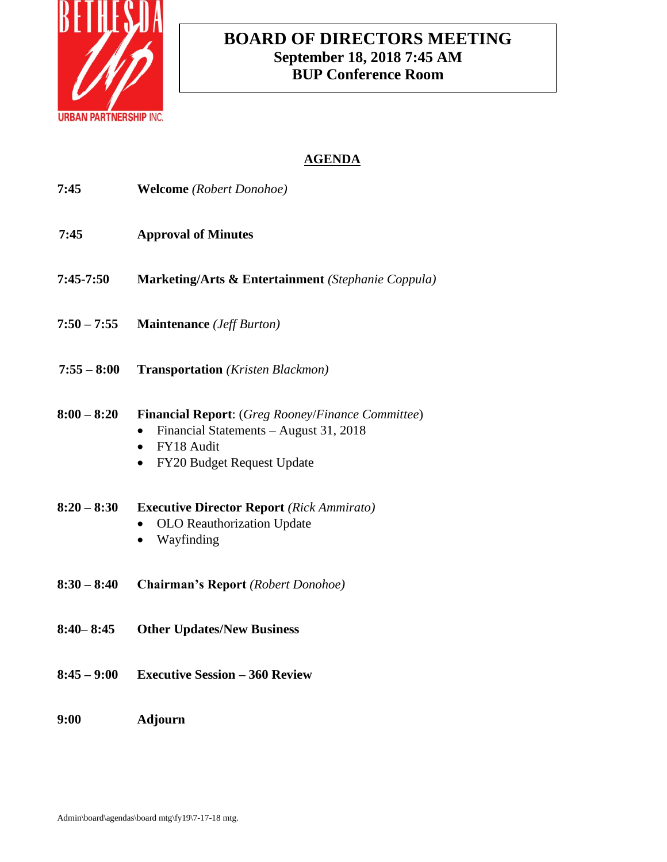

# **BOARD OF DIRECTORS MEETING September 18, 2018 7:45 AM BUP Conference Room**

| 7:45          | <b>Welcome</b> (Robert Donohoe)                                                                                                                                   |
|---------------|-------------------------------------------------------------------------------------------------------------------------------------------------------------------|
| 7:45          | <b>Approval of Minutes</b>                                                                                                                                        |
| 7:45-7:50     | Marketing/Arts & Entertainment (Stephanie Coppula)                                                                                                                |
| $7:50 - 7:55$ | <b>Maintenance</b> ( <i>Jeff Burton</i> )                                                                                                                         |
| $7:55 - 8:00$ | <b>Transportation</b> (Kristen Blackmon)                                                                                                                          |
| $8:00 - 8:20$ | Financial Report: (Greg Rooney/Finance Committee)<br>Financial Statements - August 31, 2018<br>FY18 Audit<br>$\bullet$<br>FY20 Budget Request Update<br>$\bullet$ |
| $8:20 - 8:30$ | <b>Executive Director Report</b> (Rick Ammirato)<br>OLO Reauthorization Update<br>Wayfinding                                                                      |
| $8:30 - 8:40$ | <b>Chairman's Report</b> (Robert Donohoe)                                                                                                                         |
| $8:40 - 8:45$ | <b>Other Updates/New Business</b>                                                                                                                                 |
| $8:45 - 9:00$ | <b>Executive Session - 360 Review</b>                                                                                                                             |
| 9:00          | <b>Adjourn</b>                                                                                                                                                    |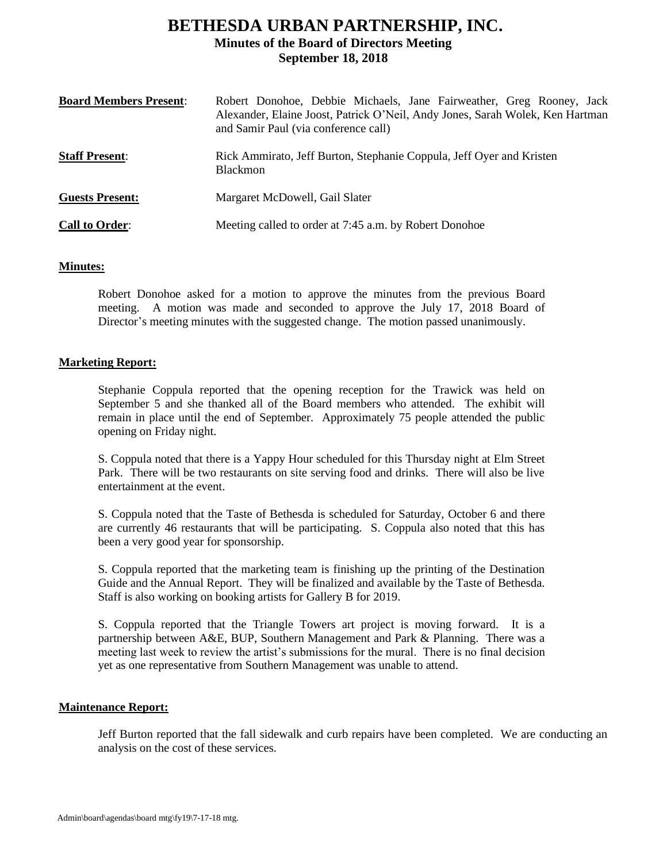# **BETHESDA URBAN PARTNERSHIP, INC. Minutes of the Board of Directors Meeting September 18, 2018**

| <b>Board Members Present:</b> | Robert Donohoe, Debbie Michaels, Jane Fairweather, Greg Rooney, Jack<br>Alexander, Elaine Joost, Patrick O'Neil, Andy Jones, Sarah Wolek, Ken Hartman<br>and Samir Paul (via conference call) |
|-------------------------------|-----------------------------------------------------------------------------------------------------------------------------------------------------------------------------------------------|
| <b>Staff Present:</b>         | Rick Ammirato, Jeff Burton, Stephanie Coppula, Jeff Oyer and Kristen<br><b>Blackmon</b>                                                                                                       |
| <b>Guests Present:</b>        | Margaret McDowell, Gail Slater                                                                                                                                                                |
| <b>Call to Order:</b>         | Meeting called to order at 7:45 a.m. by Robert Donohoe                                                                                                                                        |

## **Minutes:**

Robert Donohoe asked for a motion to approve the minutes from the previous Board meeting. A motion was made and seconded to approve the July 17, 2018 Board of Director's meeting minutes with the suggested change. The motion passed unanimously.

### **Marketing Report:**

Stephanie Coppula reported that the opening reception for the Trawick was held on September 5 and she thanked all of the Board members who attended. The exhibit will remain in place until the end of September. Approximately 75 people attended the public opening on Friday night.

S. Coppula noted that there is a Yappy Hour scheduled for this Thursday night at Elm Street Park. There will be two restaurants on site serving food and drinks. There will also be live entertainment at the event.

S. Coppula noted that the Taste of Bethesda is scheduled for Saturday, October 6 and there are currently 46 restaurants that will be participating. S. Coppula also noted that this has been a very good year for sponsorship.

S. Coppula reported that the marketing team is finishing up the printing of the Destination Guide and the Annual Report. They will be finalized and available by the Taste of Bethesda. Staff is also working on booking artists for Gallery B for 2019.

S. Coppula reported that the Triangle Towers art project is moving forward. It is a partnership between A&E, BUP, Southern Management and Park & Planning. There was a meeting last week to review the artist's submissions for the mural. There is no final decision yet as one representative from Southern Management was unable to attend.

### **Maintenance Report:**

Jeff Burton reported that the fall sidewalk and curb repairs have been completed. We are conducting an analysis on the cost of these services.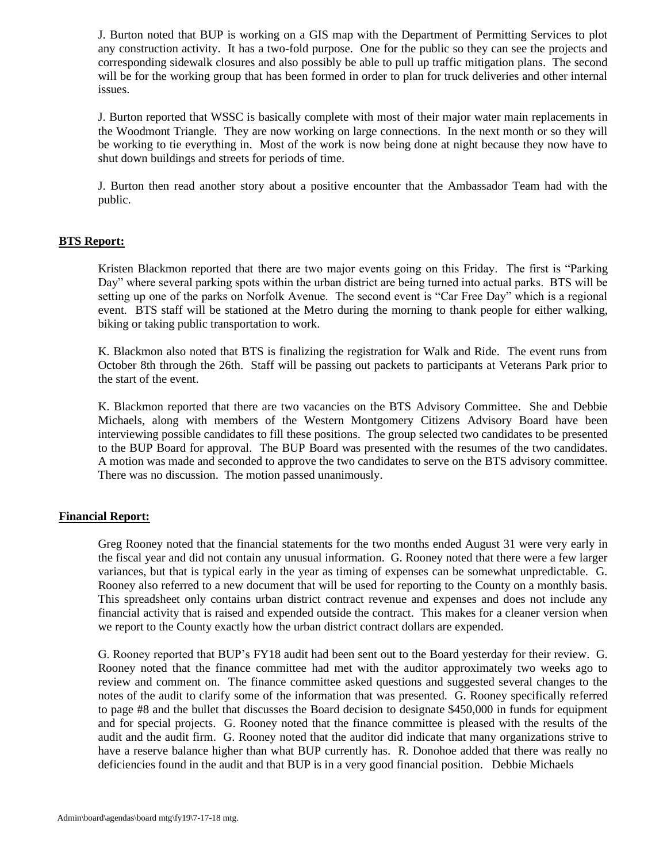J. Burton noted that BUP is working on a GIS map with the Department of Permitting Services to plot any construction activity. It has a two-fold purpose. One for the public so they can see the projects and corresponding sidewalk closures and also possibly be able to pull up traffic mitigation plans. The second will be for the working group that has been formed in order to plan for truck deliveries and other internal issues.

J. Burton reported that WSSC is basically complete with most of their major water main replacements in the Woodmont Triangle. They are now working on large connections. In the next month or so they will be working to tie everything in. Most of the work is now being done at night because they now have to shut down buildings and streets for periods of time.

J. Burton then read another story about a positive encounter that the Ambassador Team had with the public.

## **BTS Report:**

Kristen Blackmon reported that there are two major events going on this Friday. The first is "Parking Day" where several parking spots within the urban district are being turned into actual parks. BTS will be setting up one of the parks on Norfolk Avenue. The second event is "Car Free Day" which is a regional event. BTS staff will be stationed at the Metro during the morning to thank people for either walking, biking or taking public transportation to work.

K. Blackmon also noted that BTS is finalizing the registration for Walk and Ride. The event runs from October 8th through the 26th. Staff will be passing out packets to participants at Veterans Park prior to the start of the event.

K. Blackmon reported that there are two vacancies on the BTS Advisory Committee. She and Debbie Michaels, along with members of the Western Montgomery Citizens Advisory Board have been interviewing possible candidates to fill these positions. The group selected two candidates to be presented to the BUP Board for approval. The BUP Board was presented with the resumes of the two candidates. A motion was made and seconded to approve the two candidates to serve on the BTS advisory committee. There was no discussion. The motion passed unanimously.

### **Financial Report:**

Greg Rooney noted that the financial statements for the two months ended August 31 were very early in the fiscal year and did not contain any unusual information. G. Rooney noted that there were a few larger variances, but that is typical early in the year as timing of expenses can be somewhat unpredictable. G. Rooney also referred to a new document that will be used for reporting to the County on a monthly basis. This spreadsheet only contains urban district contract revenue and expenses and does not include any financial activity that is raised and expended outside the contract. This makes for a cleaner version when we report to the County exactly how the urban district contract dollars are expended.

G. Rooney reported that BUP's FY18 audit had been sent out to the Board yesterday for their review. G. Rooney noted that the finance committee had met with the auditor approximately two weeks ago to review and comment on. The finance committee asked questions and suggested several changes to the notes of the audit to clarify some of the information that was presented. G. Rooney specifically referred to page #8 and the bullet that discusses the Board decision to designate \$450,000 in funds for equipment and for special projects. G. Rooney noted that the finance committee is pleased with the results of the audit and the audit firm. G. Rooney noted that the auditor did indicate that many organizations strive to have a reserve balance higher than what BUP currently has. R. Donohoe added that there was really no deficiencies found in the audit and that BUP is in a very good financial position. Debbie Michaels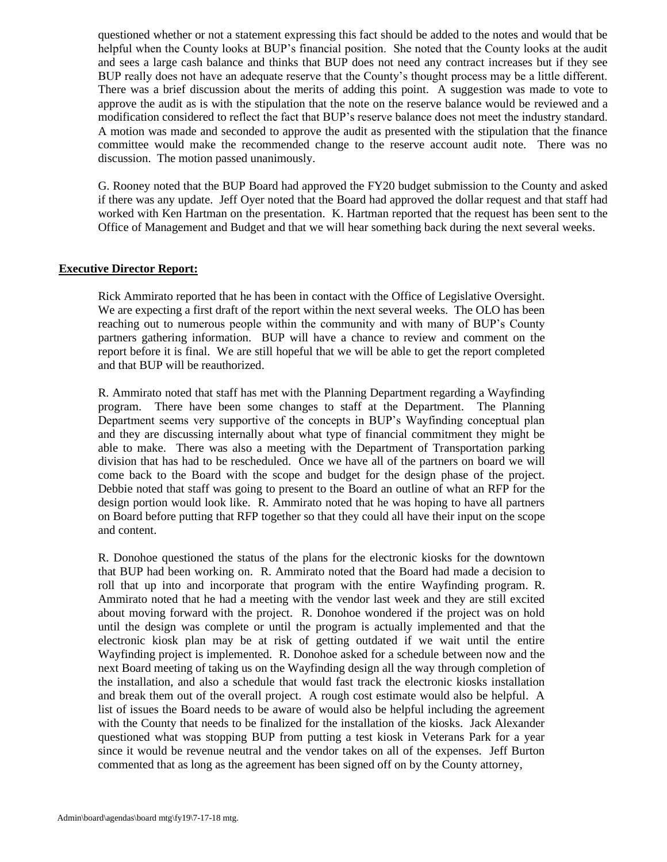questioned whether or not a statement expressing this fact should be added to the notes and would that be helpful when the County looks at BUP's financial position. She noted that the County looks at the audit and sees a large cash balance and thinks that BUP does not need any contract increases but if they see BUP really does not have an adequate reserve that the County's thought process may be a little different. There was a brief discussion about the merits of adding this point. A suggestion was made to vote to approve the audit as is with the stipulation that the note on the reserve balance would be reviewed and a modification considered to reflect the fact that BUP's reserve balance does not meet the industry standard. A motion was made and seconded to approve the audit as presented with the stipulation that the finance committee would make the recommended change to the reserve account audit note. There was no discussion. The motion passed unanimously.

G. Rooney noted that the BUP Board had approved the FY20 budget submission to the County and asked if there was any update. Jeff Oyer noted that the Board had approved the dollar request and that staff had worked with Ken Hartman on the presentation. K. Hartman reported that the request has been sent to the Office of Management and Budget and that we will hear something back during the next several weeks.

### **Executive Director Report:**

Rick Ammirato reported that he has been in contact with the Office of Legislative Oversight. We are expecting a first draft of the report within the next several weeks. The OLO has been reaching out to numerous people within the community and with many of BUP's County partners gathering information. BUP will have a chance to review and comment on the report before it is final. We are still hopeful that we will be able to get the report completed and that BUP will be reauthorized.

R. Ammirato noted that staff has met with the Planning Department regarding a Wayfinding program. There have been some changes to staff at the Department. The Planning Department seems very supportive of the concepts in BUP's Wayfinding conceptual plan and they are discussing internally about what type of financial commitment they might be able to make. There was also a meeting with the Department of Transportation parking division that has had to be rescheduled. Once we have all of the partners on board we will come back to the Board with the scope and budget for the design phase of the project. Debbie noted that staff was going to present to the Board an outline of what an RFP for the design portion would look like. R. Ammirato noted that he was hoping to have all partners on Board before putting that RFP together so that they could all have their input on the scope and content.

R. Donohoe questioned the status of the plans for the electronic kiosks for the downtown that BUP had been working on. R. Ammirato noted that the Board had made a decision to roll that up into and incorporate that program with the entire Wayfinding program. R. Ammirato noted that he had a meeting with the vendor last week and they are still excited about moving forward with the project. R. Donohoe wondered if the project was on hold until the design was complete or until the program is actually implemented and that the electronic kiosk plan may be at risk of getting outdated if we wait until the entire Wayfinding project is implemented. R. Donohoe asked for a schedule between now and the next Board meeting of taking us on the Wayfinding design all the way through completion of the installation, and also a schedule that would fast track the electronic kiosks installation and break them out of the overall project. A rough cost estimate would also be helpful. A list of issues the Board needs to be aware of would also be helpful including the agreement with the County that needs to be finalized for the installation of the kiosks. Jack Alexander questioned what was stopping BUP from putting a test kiosk in Veterans Park for a year since it would be revenue neutral and the vendor takes on all of the expenses. Jeff Burton commented that as long as the agreement has been signed off on by the County attorney,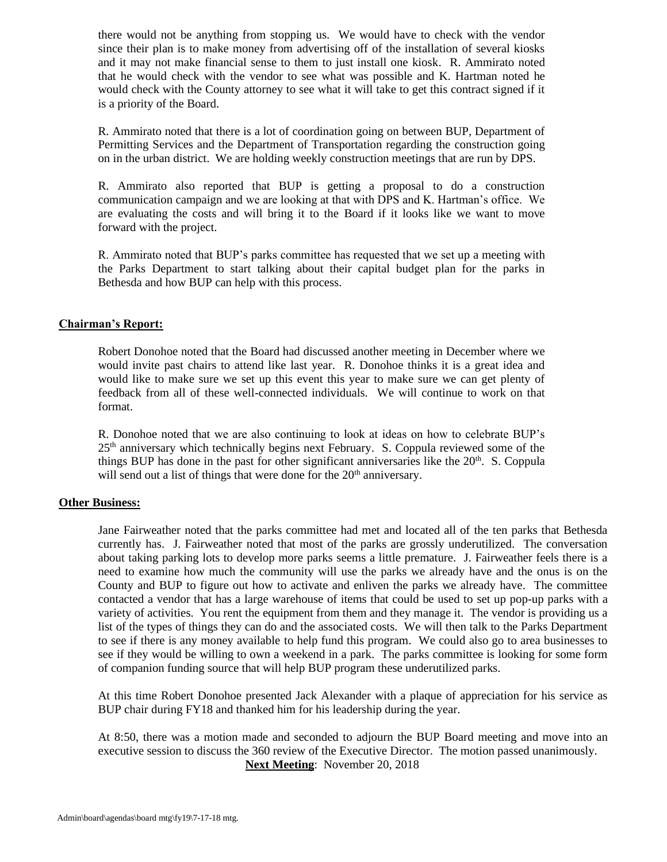there would not be anything from stopping us. We would have to check with the vendor since their plan is to make money from advertising off of the installation of several kiosks and it may not make financial sense to them to just install one kiosk. R. Ammirato noted that he would check with the vendor to see what was possible and K. Hartman noted he would check with the County attorney to see what it will take to get this contract signed if it is a priority of the Board.

R. Ammirato noted that there is a lot of coordination going on between BUP, Department of Permitting Services and the Department of Transportation regarding the construction going on in the urban district. We are holding weekly construction meetings that are run by DPS.

R. Ammirato also reported that BUP is getting a proposal to do a construction communication campaign and we are looking at that with DPS and K. Hartman's office. We are evaluating the costs and will bring it to the Board if it looks like we want to move forward with the project.

R. Ammirato noted that BUP's parks committee has requested that we set up a meeting with the Parks Department to start talking about their capital budget plan for the parks in Bethesda and how BUP can help with this process.

### **Chairman's Report:**

Robert Donohoe noted that the Board had discussed another meeting in December where we would invite past chairs to attend like last year. R. Donohoe thinks it is a great idea and would like to make sure we set up this event this year to make sure we can get plenty of feedback from all of these well-connected individuals. We will continue to work on that format.

R. Donohoe noted that we are also continuing to look at ideas on how to celebrate BUP's  $25<sup>th</sup>$  anniversary which technically begins next February. S. Coppula reviewed some of the things BUP has done in the past for other significant anniversaries like the  $20<sup>th</sup>$ . S. Coppula will send out a list of things that were done for the 20<sup>th</sup> anniversary.

### **Other Business:**

Jane Fairweather noted that the parks committee had met and located all of the ten parks that Bethesda currently has. J. Fairweather noted that most of the parks are grossly underutilized. The conversation about taking parking lots to develop more parks seems a little premature. J. Fairweather feels there is a need to examine how much the community will use the parks we already have and the onus is on the County and BUP to figure out how to activate and enliven the parks we already have. The committee contacted a vendor that has a large warehouse of items that could be used to set up pop-up parks with a variety of activities. You rent the equipment from them and they manage it. The vendor is providing us a list of the types of things they can do and the associated costs. We will then talk to the Parks Department to see if there is any money available to help fund this program. We could also go to area businesses to see if they would be willing to own a weekend in a park. The parks committee is looking for some form of companion funding source that will help BUP program these underutilized parks.

At this time Robert Donohoe presented Jack Alexander with a plaque of appreciation for his service as BUP chair during FY18 and thanked him for his leadership during the year.

At 8:50, there was a motion made and seconded to adjourn the BUP Board meeting and move into an executive session to discuss the 360 review of the Executive Director. The motion passed unanimously. **Next Meeting**: November 20, 2018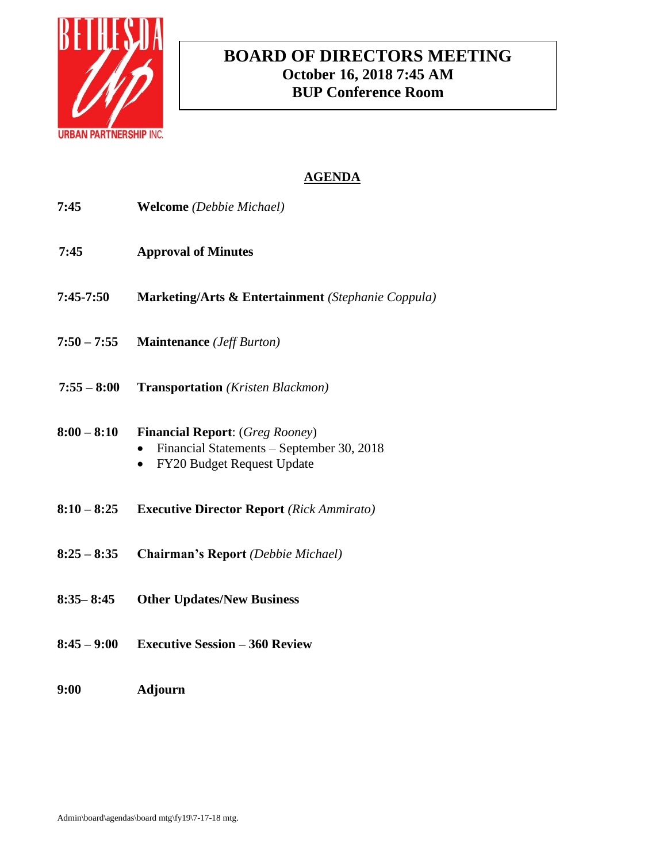

# **BOARD OF DIRECTORS MEETING October 16, 2018 7:45 AM BUP Conference Room**

| 7:45          | <b>Welcome</b> (Debbie Michael)                                                                                                |
|---------------|--------------------------------------------------------------------------------------------------------------------------------|
| 7:45          | <b>Approval of Minutes</b>                                                                                                     |
| $7:45-7:50$   | <b>Marketing/Arts &amp; Entertainment</b> (Stephanie Coppula)                                                                  |
| $7:50 - 7:55$ | <b>Maintenance</b> ( <i>Jeff Burton</i> )                                                                                      |
| $7:55 - 8:00$ | <b>Transportation</b> (Kristen Blackmon)                                                                                       |
| $8:00 - 8:10$ | <b>Financial Report:</b> (Greg Rooney)<br>Financial Statements – September 30, 2018<br>FY20 Budget Request Update<br>$\bullet$ |
| $8:10 - 8:25$ | <b>Executive Director Report</b> (Rick Ammirato)                                                                               |
| $8:25 - 8:35$ | Chairman's Report (Debbie Michael)                                                                                             |
| $8:35 - 8:45$ | <b>Other Updates/New Business</b>                                                                                              |
| $8:45 - 9:00$ | <b>Executive Session - 360 Review</b>                                                                                          |
| 9:00          | <b>Adjourn</b>                                                                                                                 |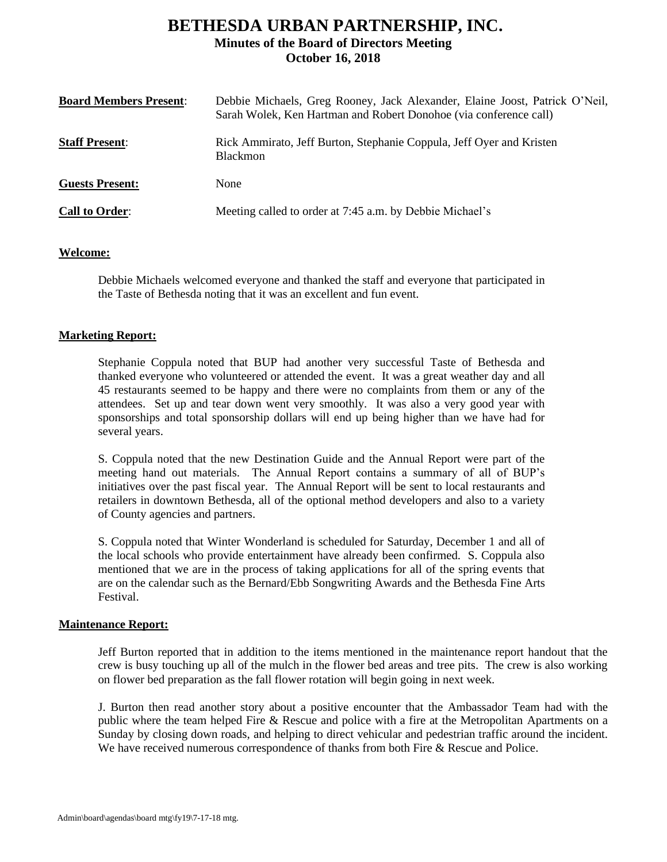# **BETHESDA URBAN PARTNERSHIP, INC. Minutes of the Board of Directors Meeting October 16, 2018**

| <b>Board Members Present:</b> | Debbie Michaels, Greg Rooney, Jack Alexander, Elaine Joost, Patrick O'Neil,<br>Sarah Wolek, Ken Hartman and Robert Donohoe (via conference call) |
|-------------------------------|--------------------------------------------------------------------------------------------------------------------------------------------------|
| <b>Staff Present:</b>         | Rick Ammirato, Jeff Burton, Stephanie Coppula, Jeff Oyer and Kristen<br><b>Blackmon</b>                                                          |
| <b>Guests Present:</b>        | None                                                                                                                                             |
| <b>Call to Order:</b>         | Meeting called to order at 7:45 a.m. by Debbie Michael's                                                                                         |

### **Welcome:**

Debbie Michaels welcomed everyone and thanked the staff and everyone that participated in the Taste of Bethesda noting that it was an excellent and fun event.

## **Marketing Report:**

Stephanie Coppula noted that BUP had another very successful Taste of Bethesda and thanked everyone who volunteered or attended the event. It was a great weather day and all 45 restaurants seemed to be happy and there were no complaints from them or any of the attendees. Set up and tear down went very smoothly. It was also a very good year with sponsorships and total sponsorship dollars will end up being higher than we have had for several years.

S. Coppula noted that the new Destination Guide and the Annual Report were part of the meeting hand out materials. The Annual Report contains a summary of all of BUP's initiatives over the past fiscal year. The Annual Report will be sent to local restaurants and retailers in downtown Bethesda, all of the optional method developers and also to a variety of County agencies and partners.

S. Coppula noted that Winter Wonderland is scheduled for Saturday, December 1 and all of the local schools who provide entertainment have already been confirmed. S. Coppula also mentioned that we are in the process of taking applications for all of the spring events that are on the calendar such as the Bernard/Ebb Songwriting Awards and the Bethesda Fine Arts Festival.

### **Maintenance Report:**

Jeff Burton reported that in addition to the items mentioned in the maintenance report handout that the crew is busy touching up all of the mulch in the flower bed areas and tree pits. The crew is also working on flower bed preparation as the fall flower rotation will begin going in next week.

J. Burton then read another story about a positive encounter that the Ambassador Team had with the public where the team helped Fire & Rescue and police with a fire at the Metropolitan Apartments on a Sunday by closing down roads, and helping to direct vehicular and pedestrian traffic around the incident. We have received numerous correspondence of thanks from both Fire & Rescue and Police.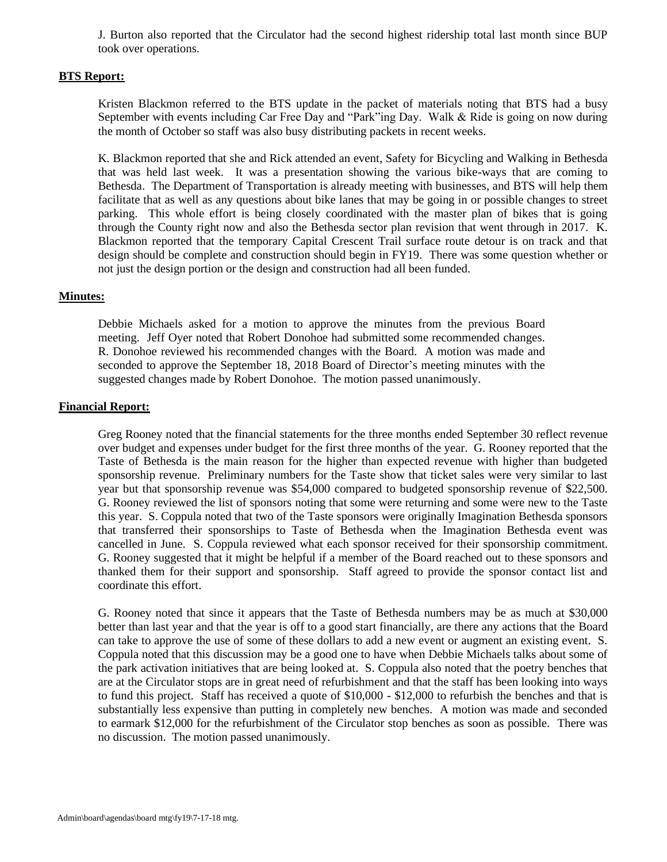J. Burton also reported that the Circulator had the second highest ridership total last month since BUP took over operations.

### **BTS Report:**

Kristen Blackmon referred to the BTS update in the packet of materials noting that BTS had a busy September with events including Car Free Day and "Park"ing Day. Walk & Ride is going on now during the month of October so staff was also busy distributing packets in recent weeks.

K. Blackmon reported that she and Rick attended an event, Safety for Bicycling and Walking in Bethesda that was held last week. It was a presentation showing the various bike-ways that are coming to Bethesda. The Department of Transportation is already meeting with businesses, and BTS will help them facilitate that as well as any questions about bike lanes that may be going in or possible changes to street parking. This whole effort is being closely coordinated with the master plan of bikes that is going through the County right now and also the Bethesda sector plan revision that went through in 2017. K. Blackmon reported that the temporary Capital Crescent Trail surface route detour is on track and that design should be complete and construction should begin in FY19. There was some question whether or not just the design portion or the design and construction had all been funded.

### **Minutes:**

Debbie Michaels asked for a motion to approve the minutes from the previous Board meeting. Jeff Oyer noted that Robert Donohoe had submitted some recommended changes. R. Donohoe reviewed his recommended changes with the Board. A motion was made and seconded to approve the September 18, 2018 Board of Director's meeting minutes with the suggested changes made by Robert Donohoe. The motion passed unanimously.

### **Financial Report:**

Greg Rooney noted that the financial statements for the three months ended September 30 reflect revenue over budget and expenses under budget for the first three months of the year. G. Rooney reported that the Taste of Bethesda is the main reason for the higher than expected revenue with higher than budgeted sponsorship revenue. Preliminary numbers for the Taste show that ticket sales were very similar to last year but that sponsorship revenue was \$54,000 compared to budgeted sponsorship revenue of \$22,500. G. Rooney reviewed the list of sponsors noting that some were returning and some were new to the Taste this year. S. Coppula noted that two of the Taste sponsors were originally Imagination Bethesda sponsors that transferred their sponsorships to Taste of Bethesda when the Imagination Bethesda event was cancelled in June. S. Coppula reviewed what each sponsor received for their sponsorship commitment. G. Rooney suggested that it might be helpful if a member of the Board reached out to these sponsors and thanked them for their support and sponsorship. Staff agreed to provide the sponsor contact list and coordinate this effort.

G. Rooney noted that since it appears that the Taste of Bethesda numbers may be as much at \$30,000 better than last year and that the year is off to a good start financially, are there any actions that the Board can take to approve the use of some of these dollars to add a new event or augment an existing event. S. Coppula noted that this discussion may be a good one to have when Debbie Michaels talks about some of the park activation initiatives that are being looked at. S. Coppula also noted that the poetry benches that are at the Circulator stops are in great need of refurbishment and that the staff has been looking into ways to fund this project. Staff has received a quote of \$10,000 - \$12,000 to refurbish the benches and that is substantially less expensive than putting in completely new benches. A motion was made and seconded to earmark \$12,000 for the refurbishment of the Circulator stop benches as soon as possible. There was no discussion. The motion passed unanimously.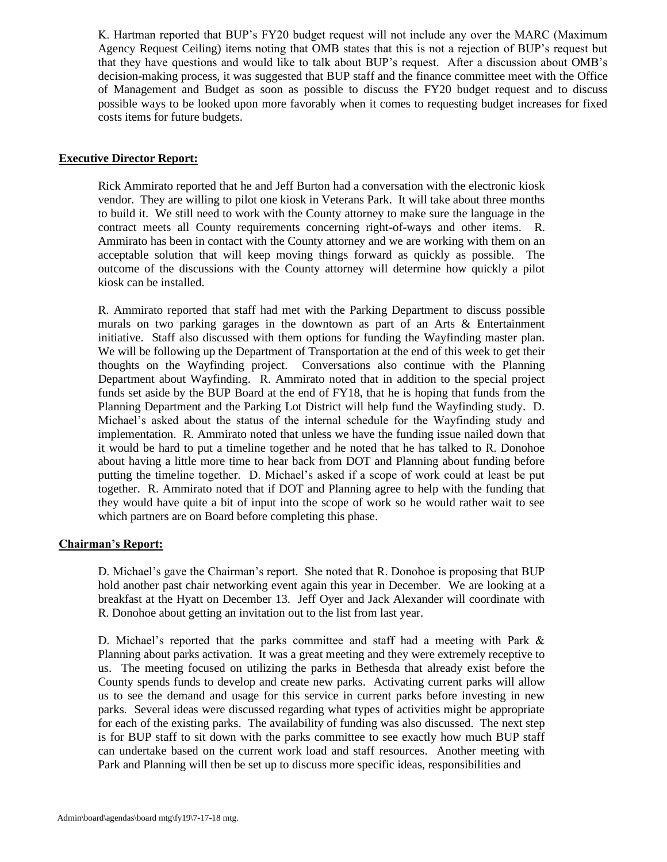K. Hartman reported that BUP's FY20 budget request will not include any over the MARC (Maximum Agency Request Ceiling) items noting that OMB states that this is not a rejection of BUP's request but that they have questions and would like to talk about BUP's request. After a discussion about OMB's decision-making process, it was suggested that BUP staff and the finance committee meet with the Office of Management and Budget as soon as possible to discuss the FY20 budget request and to discuss possible ways to be looked upon more favorably when it comes to requesting budget increases for fixed costs items for future budgets.

## **Executive Director Report:**

Rick Ammirato reported that he and Jeff Burton had a conversation with the electronic kiosk vendor. They are willing to pilot one kiosk in Veterans Park. It will take about three months to build it. We still need to work with the County attorney to make sure the language in the contract meets all County requirements concerning right-of-ways and other items. R. Ammirato has been in contact with the County attorney and we are working with them on an acceptable solution that will keep moving things forward as quickly as possible. The outcome of the discussions with the County attorney will determine how quickly a pilot kiosk can be installed.

R. Ammirato reported that staff had met with the Parking Department to discuss possible murals on two parking garages in the downtown as part of an Arts & Entertainment initiative. Staff also discussed with them options for funding the Wayfinding master plan. We will be following up the Department of Transportation at the end of this week to get their thoughts on the Wayfinding project. Conversations also continue with the Planning Department about Wayfinding. R. Ammirato noted that in addition to the special project funds set aside by the BUP Board at the end of FY18, that he is hoping that funds from the Planning Department and the Parking Lot District will help fund the Wayfinding study. D. Michael's asked about the status of the internal schedule for the Wayfinding study and implementation. R. Ammirato noted that unless we have the funding issue nailed down that it would be hard to put a timeline together and he noted that he has talked to R. Donohoe about having a little more time to hear back from DOT and Planning about funding before putting the timeline together. D. Michael's asked if a scope of work could at least be put together. R. Ammirato noted that if DOT and Planning agree to help with the funding that they would have quite a bit of input into the scope of work so he would rather wait to see which partners are on Board before completing this phase.

### **Chairman's Report:**

D. Michael's gave the Chairman's report. She noted that R. Donohoe is proposing that BUP hold another past chair networking event again this year in December. We are looking at a breakfast at the Hyatt on December 13. Jeff Oyer and Jack Alexander will coordinate with R. Donohoe about getting an invitation out to the list from last year.

D. Michael's reported that the parks committee and staff had a meeting with Park & Planning about parks activation. It was a great meeting and they were extremely receptive to us. The meeting focused on utilizing the parks in Bethesda that already exist before the County spends funds to develop and create new parks. Activating current parks will allow us to see the demand and usage for this service in current parks before investing in new parks. Several ideas were discussed regarding what types of activities might be appropriate for each of the existing parks. The availability of funding was also discussed. The next step is for BUP staff to sit down with the parks committee to see exactly how much BUP staff can undertake based on the current work load and staff resources. Another meeting with Park and Planning will then be set up to discuss more specific ideas, responsibilities and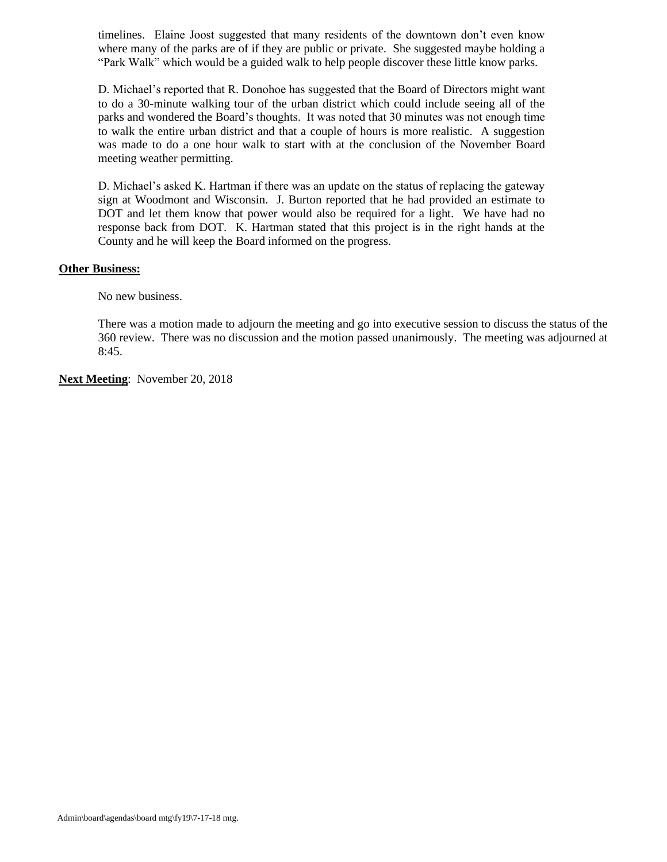timelines. Elaine Joost suggested that many residents of the downtown don't even know where many of the parks are of if they are public or private. She suggested maybe holding a "Park Walk" which would be a guided walk to help people discover these little know parks.

D. Michael's reported that R. Donohoe has suggested that the Board of Directors might want to do a 30-minute walking tour of the urban district which could include seeing all of the parks and wondered the Board's thoughts. It was noted that 30 minutes was not enough time to walk the entire urban district and that a couple of hours is more realistic. A suggestion was made to do a one hour walk to start with at the conclusion of the November Board meeting weather permitting.

D. Michael's asked K. Hartman if there was an update on the status of replacing the gateway sign at Woodmont and Wisconsin. J. Burton reported that he had provided an estimate to DOT and let them know that power would also be required for a light. We have had no response back from DOT. K. Hartman stated that this project is in the right hands at the County and he will keep the Board informed on the progress.

### **Other Business:**

No new business.

There was a motion made to adjourn the meeting and go into executive session to discuss the status of the 360 review. There was no discussion and the motion passed unanimously. The meeting was adjourned at 8:45.

**Next Meeting**: November 20, 2018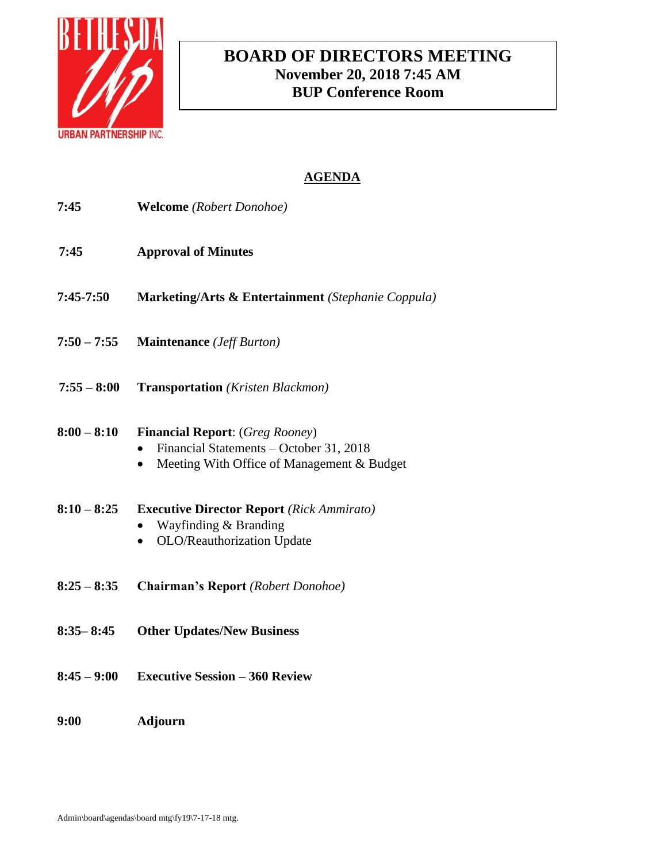

# **BOARD OF DIRECTORS MEETING November 20, 2018 7:45 AM BUP Conference Room**

| 7:45          | <b>Welcome</b> (Robert Donohoe)                                                                                                              |
|---------------|----------------------------------------------------------------------------------------------------------------------------------------------|
| 7:45          | <b>Approval of Minutes</b>                                                                                                                   |
| 7:45-7:50     | Marketing/Arts & Entertainment (Stephanie Coppula)                                                                                           |
| $7:50 - 7:55$ | <b>Maintenance</b> ( <i>Jeff Burton</i> )                                                                                                    |
| $7:55 - 8:00$ | <b>Transportation</b> (Kristen Blackmon)                                                                                                     |
| $8:00 - 8:10$ | <b>Financial Report:</b> (Greg Rooney)<br>Financial Statements - October 31, 2018<br>Meeting With Office of Management & Budget<br>$\bullet$ |
| $8:10 - 8:25$ | <b>Executive Director Report</b> (Rick Ammirato)<br>Wayfinding & Branding<br>OLO/Reauthorization Update                                      |
| $8:25 - 8:35$ | Chairman's Report (Robert Donohoe)                                                                                                           |
| $8:35 - 8:45$ | <b>Other Updates/New Business</b>                                                                                                            |
| $8:45 - 9:00$ | <b>Executive Session - 360 Review</b>                                                                                                        |
| 9:00          | Adjourn                                                                                                                                      |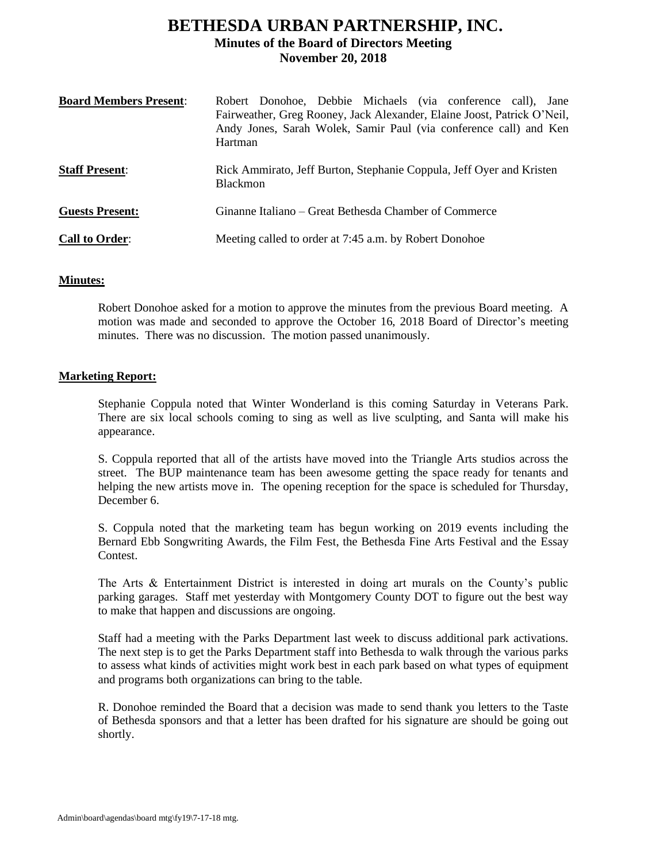# **BETHESDA URBAN PARTNERSHIP, INC. Minutes of the Board of Directors Meeting November 20, 2018**

| <b>Board Members Present:</b> | Robert Donohoe, Debbie Michaels (via conference call), Jane<br>Fairweather, Greg Rooney, Jack Alexander, Elaine Joost, Patrick O'Neil,<br>Andy Jones, Sarah Wolek, Samir Paul (via conference call) and Ken<br>Hartman |
|-------------------------------|------------------------------------------------------------------------------------------------------------------------------------------------------------------------------------------------------------------------|
| <b>Staff Present:</b>         | Rick Ammirato, Jeff Burton, Stephanie Coppula, Jeff Oyer and Kristen<br><b>Blackmon</b>                                                                                                                                |
| <b>Guests Present:</b>        | Ginanne Italiano – Great Bethesda Chamber of Commerce                                                                                                                                                                  |
| <b>Call to Order:</b>         | Meeting called to order at 7:45 a.m. by Robert Donohoe                                                                                                                                                                 |

### **Minutes:**

Robert Donohoe asked for a motion to approve the minutes from the previous Board meeting. A motion was made and seconded to approve the October 16, 2018 Board of Director's meeting minutes. There was no discussion. The motion passed unanimously.

### **Marketing Report:**

Stephanie Coppula noted that Winter Wonderland is this coming Saturday in Veterans Park. There are six local schools coming to sing as well as live sculpting, and Santa will make his appearance.

S. Coppula reported that all of the artists have moved into the Triangle Arts studios across the street. The BUP maintenance team has been awesome getting the space ready for tenants and helping the new artists move in. The opening reception for the space is scheduled for Thursday, December 6.

S. Coppula noted that the marketing team has begun working on 2019 events including the Bernard Ebb Songwriting Awards, the Film Fest, the Bethesda Fine Arts Festival and the Essay Contest.

The Arts & Entertainment District is interested in doing art murals on the County's public parking garages. Staff met yesterday with Montgomery County DOT to figure out the best way to make that happen and discussions are ongoing.

Staff had a meeting with the Parks Department last week to discuss additional park activations. The next step is to get the Parks Department staff into Bethesda to walk through the various parks to assess what kinds of activities might work best in each park based on what types of equipment and programs both organizations can bring to the table.

R. Donohoe reminded the Board that a decision was made to send thank you letters to the Taste of Bethesda sponsors and that a letter has been drafted for his signature are should be going out shortly.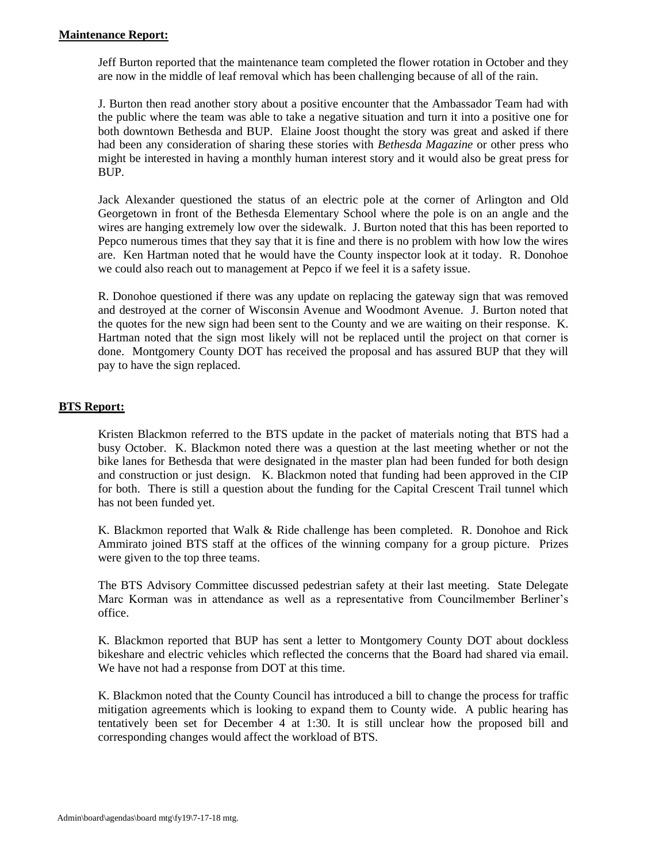Jeff Burton reported that the maintenance team completed the flower rotation in October and they are now in the middle of leaf removal which has been challenging because of all of the rain.

J. Burton then read another story about a positive encounter that the Ambassador Team had with the public where the team was able to take a negative situation and turn it into a positive one for both downtown Bethesda and BUP. Elaine Joost thought the story was great and asked if there had been any consideration of sharing these stories with *Bethesda Magazine* or other press who might be interested in having a monthly human interest story and it would also be great press for BUP.

Jack Alexander questioned the status of an electric pole at the corner of Arlington and Old Georgetown in front of the Bethesda Elementary School where the pole is on an angle and the wires are hanging extremely low over the sidewalk. J. Burton noted that this has been reported to Pepco numerous times that they say that it is fine and there is no problem with how low the wires are. Ken Hartman noted that he would have the County inspector look at it today. R. Donohoe we could also reach out to management at Pepco if we feel it is a safety issue.

R. Donohoe questioned if there was any update on replacing the gateway sign that was removed and destroyed at the corner of Wisconsin Avenue and Woodmont Avenue. J. Burton noted that the quotes for the new sign had been sent to the County and we are waiting on their response. K. Hartman noted that the sign most likely will not be replaced until the project on that corner is done. Montgomery County DOT has received the proposal and has assured BUP that they will pay to have the sign replaced.

## **BTS Report:**

Kristen Blackmon referred to the BTS update in the packet of materials noting that BTS had a busy October. K. Blackmon noted there was a question at the last meeting whether or not the bike lanes for Bethesda that were designated in the master plan had been funded for both design and construction or just design. K. Blackmon noted that funding had been approved in the CIP for both. There is still a question about the funding for the Capital Crescent Trail tunnel which has not been funded yet.

K. Blackmon reported that Walk & Ride challenge has been completed. R. Donohoe and Rick Ammirato joined BTS staff at the offices of the winning company for a group picture. Prizes were given to the top three teams.

The BTS Advisory Committee discussed pedestrian safety at their last meeting. State Delegate Marc Korman was in attendance as well as a representative from Councilmember Berliner's office.

K. Blackmon reported that BUP has sent a letter to Montgomery County DOT about dockless bikeshare and electric vehicles which reflected the concerns that the Board had shared via email. We have not had a response from DOT at this time.

K. Blackmon noted that the County Council has introduced a bill to change the process for traffic mitigation agreements which is looking to expand them to County wide. A public hearing has tentatively been set for December 4 at 1:30. It is still unclear how the proposed bill and corresponding changes would affect the workload of BTS.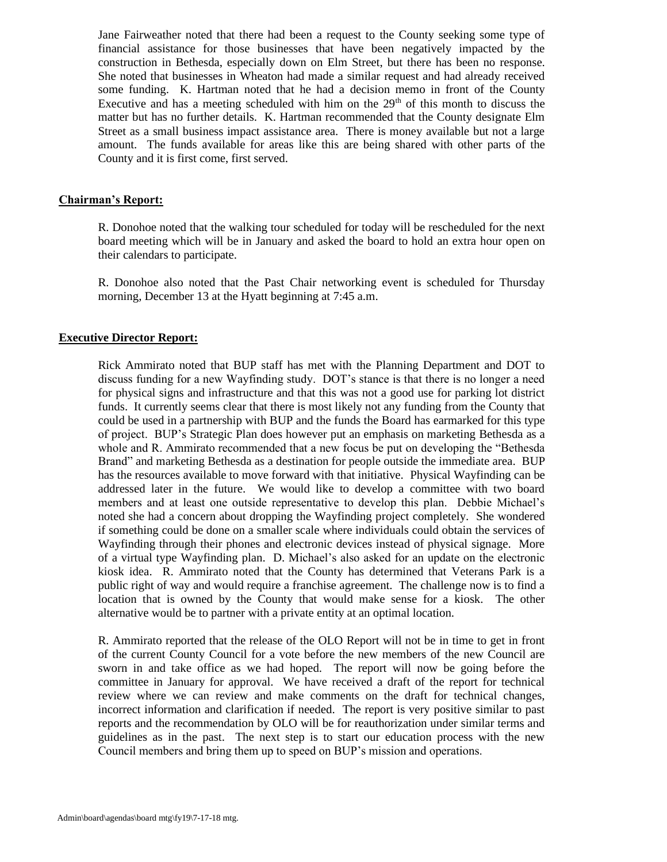Jane Fairweather noted that there had been a request to the County seeking some type of financial assistance for those businesses that have been negatively impacted by the construction in Bethesda, especially down on Elm Street, but there has been no response. She noted that businesses in Wheaton had made a similar request and had already received some funding. K. Hartman noted that he had a decision memo in front of the County Executive and has a meeting scheduled with him on the  $29<sup>th</sup>$  of this month to discuss the matter but has no further details. K. Hartman recommended that the County designate Elm Street as a small business impact assistance area. There is money available but not a large amount. The funds available for areas like this are being shared with other parts of the County and it is first come, first served.

### **Chairman's Report:**

R. Donohoe noted that the walking tour scheduled for today will be rescheduled for the next board meeting which will be in January and asked the board to hold an extra hour open on their calendars to participate.

R. Donohoe also noted that the Past Chair networking event is scheduled for Thursday morning, December 13 at the Hyatt beginning at 7:45 a.m.

#### **Executive Director Report:**

Rick Ammirato noted that BUP staff has met with the Planning Department and DOT to discuss funding for a new Wayfinding study. DOT's stance is that there is no longer a need for physical signs and infrastructure and that this was not a good use for parking lot district funds. It currently seems clear that there is most likely not any funding from the County that could be used in a partnership with BUP and the funds the Board has earmarked for this type of project. BUP's Strategic Plan does however put an emphasis on marketing Bethesda as a whole and R. Ammirato recommended that a new focus be put on developing the "Bethesda Brand" and marketing Bethesda as a destination for people outside the immediate area. BUP has the resources available to move forward with that initiative. Physical Wayfinding can be addressed later in the future. We would like to develop a committee with two board members and at least one outside representative to develop this plan. Debbie Michael's noted she had a concern about dropping the Wayfinding project completely. She wondered if something could be done on a smaller scale where individuals could obtain the services of Wayfinding through their phones and electronic devices instead of physical signage. More of a virtual type Wayfinding plan. D. Michael's also asked for an update on the electronic kiosk idea. R. Ammirato noted that the County has determined that Veterans Park is a public right of way and would require a franchise agreement. The challenge now is to find a location that is owned by the County that would make sense for a kiosk. The other alternative would be to partner with a private entity at an optimal location.

R. Ammirato reported that the release of the OLO Report will not be in time to get in front of the current County Council for a vote before the new members of the new Council are sworn in and take office as we had hoped. The report will now be going before the committee in January for approval. We have received a draft of the report for technical review where we can review and make comments on the draft for technical changes, incorrect information and clarification if needed. The report is very positive similar to past reports and the recommendation by OLO will be for reauthorization under similar terms and guidelines as in the past. The next step is to start our education process with the new Council members and bring them up to speed on BUP's mission and operations.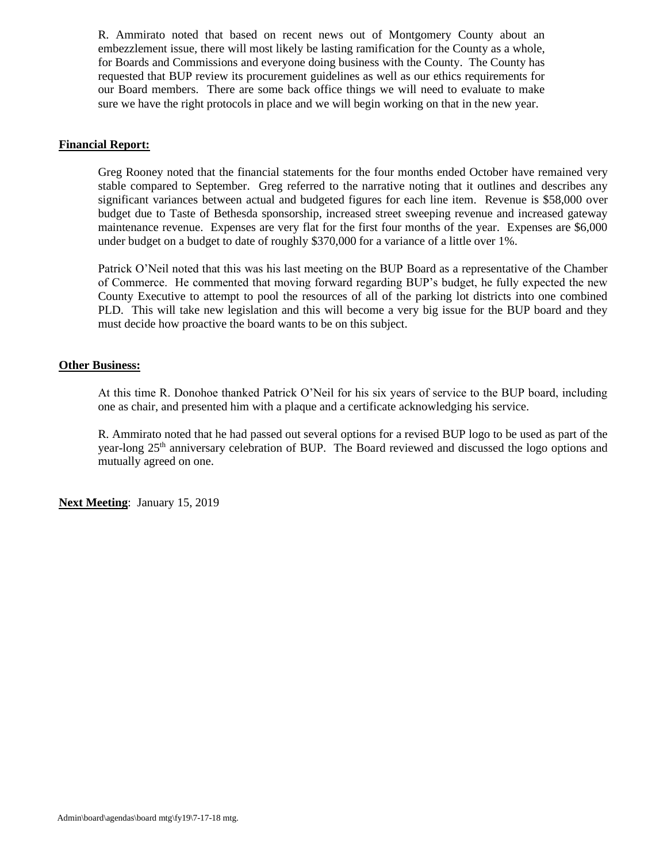R. Ammirato noted that based on recent news out of Montgomery County about an embezzlement issue, there will most likely be lasting ramification for the County as a whole, for Boards and Commissions and everyone doing business with the County. The County has requested that BUP review its procurement guidelines as well as our ethics requirements for our Board members. There are some back office things we will need to evaluate to make sure we have the right protocols in place and we will begin working on that in the new year.

## **Financial Report:**

Greg Rooney noted that the financial statements for the four months ended October have remained very stable compared to September. Greg referred to the narrative noting that it outlines and describes any significant variances between actual and budgeted figures for each line item. Revenue is \$58,000 over budget due to Taste of Bethesda sponsorship, increased street sweeping revenue and increased gateway maintenance revenue. Expenses are very flat for the first four months of the year. Expenses are \$6,000 under budget on a budget to date of roughly \$370,000 for a variance of a little over 1%.

Patrick O'Neil noted that this was his last meeting on the BUP Board as a representative of the Chamber of Commerce. He commented that moving forward regarding BUP's budget, he fully expected the new County Executive to attempt to pool the resources of all of the parking lot districts into one combined PLD. This will take new legislation and this will become a very big issue for the BUP board and they must decide how proactive the board wants to be on this subject.

### **Other Business:**

At this time R. Donohoe thanked Patrick O'Neil for his six years of service to the BUP board, including one as chair, and presented him with a plaque and a certificate acknowledging his service.

R. Ammirato noted that he had passed out several options for a revised BUP logo to be used as part of the year-long 25<sup>th</sup> anniversary celebration of BUP. The Board reviewed and discussed the logo options and mutually agreed on one.

**Next Meeting**: January 15, 2019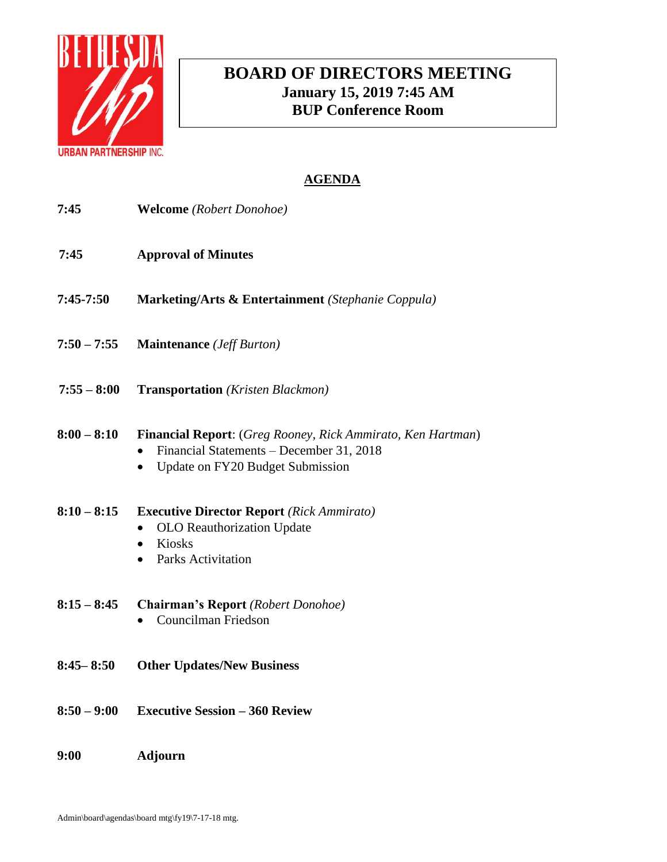

# **BOARD OF DIRECTORS MEETING January 15, 2019 7:45 AM BUP Conference Room**

| 7:45          | <b>Welcome</b> (Robert Donohoe)                                                                                                                 |
|---------------|-------------------------------------------------------------------------------------------------------------------------------------------------|
| 7:45          | <b>Approval of Minutes</b>                                                                                                                      |
| $7:45-7:50$   | Marketing/Arts & Entertainment (Stephanie Coppula)                                                                                              |
| $7:50 - 7:55$ | <b>Maintenance</b> ( <i>Jeff Burton</i> )                                                                                                       |
| $7:55 - 8:00$ | <b>Transportation</b> (Kristen Blackmon)                                                                                                        |
| $8:00 - 8:10$ | Financial Report: (Greg Rooney, Rick Ammirato, Ken Hartman)<br>Financial Statements - December 31, 2018<br>Update on FY20 Budget Submission     |
| $8:10 - 8:15$ | <b>Executive Director Report</b> (Rick Ammirato)<br>OLO Reauthorization Update<br>Kiosks<br>$\bullet$<br><b>Parks Activitation</b><br>$\bullet$ |
| $8:15 - 8:45$ | Chairman's Report (Robert Donohoe)<br>Councilman Friedson                                                                                       |
| $8:45 - 8:50$ | <b>Other Updates/New Business</b>                                                                                                               |
| $8:50 - 9:00$ | <b>Executive Session - 360 Review</b>                                                                                                           |
| 9:00          | <b>Adjourn</b>                                                                                                                                  |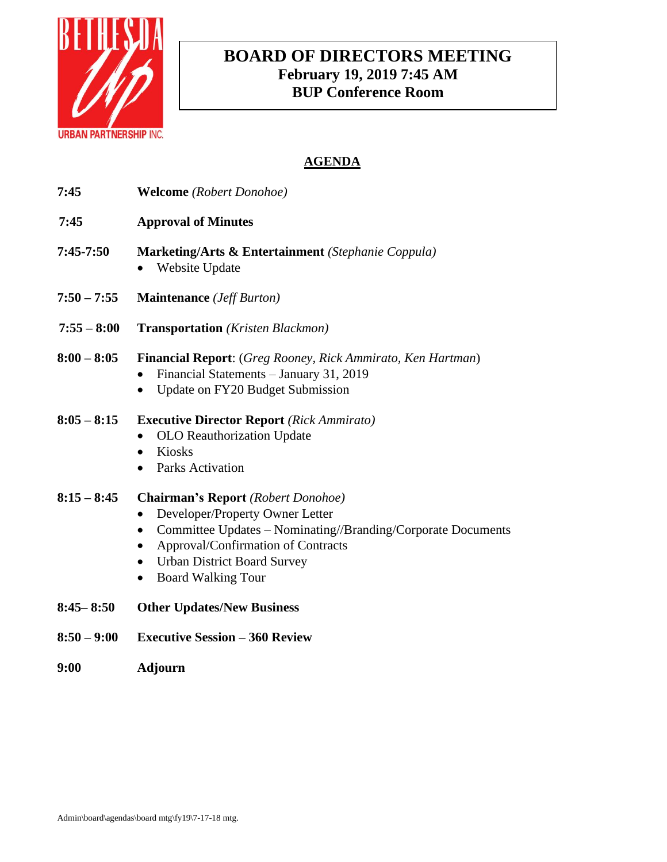

# **BOARD OF DIRECTORS MEETING February 19, 2019 7:45 AM BUP Conference Room**

| 7:45          | <b>Welcome</b> (Robert Donohoe)                                                                                                                                                                                                                                                                           |
|---------------|-----------------------------------------------------------------------------------------------------------------------------------------------------------------------------------------------------------------------------------------------------------------------------------------------------------|
| 7:45          | <b>Approval of Minutes</b>                                                                                                                                                                                                                                                                                |
| $7:45-7:50$   | <b>Marketing/Arts &amp; Entertainment</b> (Stephanie Coppula)<br>Website Update                                                                                                                                                                                                                           |
| $7:50 - 7:55$ | <b>Maintenance</b> ( <i>Jeff Burton</i> )                                                                                                                                                                                                                                                                 |
| $7:55 - 8:00$ | <b>Transportation</b> (Kristen Blackmon)                                                                                                                                                                                                                                                                  |
| $8:00 - 8:05$ | <b>Financial Report:</b> (Greg Rooney, Rick Ammirato, Ken Hartman)<br>Financial Statements - January 31, 2019<br>Update on FY20 Budget Submission                                                                                                                                                         |
| $8:05 - 8:15$ | <b>Executive Director Report</b> (Rick Ammirato)<br>OLO Reauthorization Update<br>Kiosks<br>$\bullet$<br><b>Parks Activation</b>                                                                                                                                                                          |
| $8:15 - 8:45$ | <b>Chairman's Report</b> (Robert Donohoe)<br>Developer/Property Owner Letter<br>Committee Updates - Nominating//Branding/Corporate Documents<br>$\bullet$<br>Approval/Confirmation of Contracts<br>$\bullet$<br><b>Urban District Board Survey</b><br>$\bullet$<br><b>Board Walking Tour</b><br>$\bullet$ |
| $8:45 - 8:50$ | <b>Other Updates/New Business</b>                                                                                                                                                                                                                                                                         |

- **8:50 – 9:00 Executive Session – 360 Review**
- **9:00 Adjourn**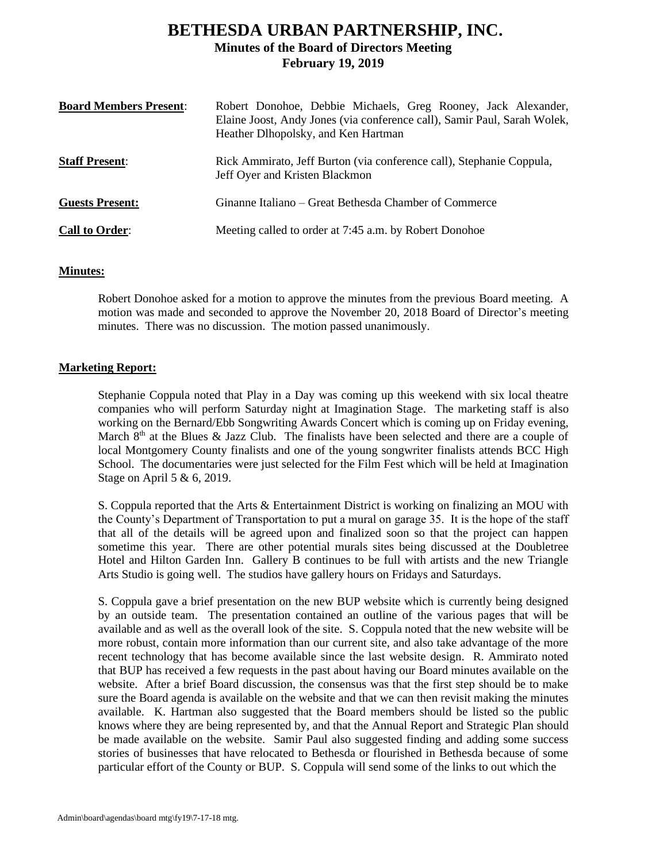# **BETHESDA URBAN PARTNERSHIP, INC. Minutes of the Board of Directors Meeting February 19, 2019**

| <b>Board Members Present:</b> | Robert Donohoe, Debbie Michaels, Greg Rooney, Jack Alexander,<br>Elaine Joost, Andy Jones (via conference call), Samir Paul, Sarah Wolek,<br>Heather Dlhopolsky, and Ken Hartman |
|-------------------------------|----------------------------------------------------------------------------------------------------------------------------------------------------------------------------------|
| <b>Staff Present:</b>         | Rick Ammirato, Jeff Burton (via conference call), Stephanie Coppula,<br>Jeff Oyer and Kristen Blackmon                                                                           |
| <b>Guests Present:</b>        | Ginanne Italiano – Great Bethesda Chamber of Commerce                                                                                                                            |
| <b>Call to Order:</b>         | Meeting called to order at 7:45 a.m. by Robert Donohoe                                                                                                                           |

## **Minutes:**

Robert Donohoe asked for a motion to approve the minutes from the previous Board meeting. A motion was made and seconded to approve the November 20, 2018 Board of Director's meeting minutes. There was no discussion. The motion passed unanimously.

## **Marketing Report:**

Stephanie Coppula noted that Play in a Day was coming up this weekend with six local theatre companies who will perform Saturday night at Imagination Stage. The marketing staff is also working on the Bernard/Ebb Songwriting Awards Concert which is coming up on Friday evening, March  $8<sup>th</sup>$  at the Blues & Jazz Club. The finalists have been selected and there are a couple of local Montgomery County finalists and one of the young songwriter finalists attends BCC High School. The documentaries were just selected for the Film Fest which will be held at Imagination Stage on April 5 & 6, 2019.

S. Coppula reported that the Arts & Entertainment District is working on finalizing an MOU with the County's Department of Transportation to put a mural on garage 35. It is the hope of the staff that all of the details will be agreed upon and finalized soon so that the project can happen sometime this year. There are other potential murals sites being discussed at the Doubletree Hotel and Hilton Garden Inn. Gallery B continues to be full with artists and the new Triangle Arts Studio is going well. The studios have gallery hours on Fridays and Saturdays.

S. Coppula gave a brief presentation on the new BUP website which is currently being designed by an outside team. The presentation contained an outline of the various pages that will be available and as well as the overall look of the site. S. Coppula noted that the new website will be more robust, contain more information than our current site, and also take advantage of the more recent technology that has become available since the last website design. R. Ammirato noted that BUP has received a few requests in the past about having our Board minutes available on the website. After a brief Board discussion, the consensus was that the first step should be to make sure the Board agenda is available on the website and that we can then revisit making the minutes available. K. Hartman also suggested that the Board members should be listed so the public knows where they are being represented by, and that the Annual Report and Strategic Plan should be made available on the website. Samir Paul also suggested finding and adding some success stories of businesses that have relocated to Bethesda or flourished in Bethesda because of some particular effort of the County or BUP. S. Coppula will send some of the links to out which the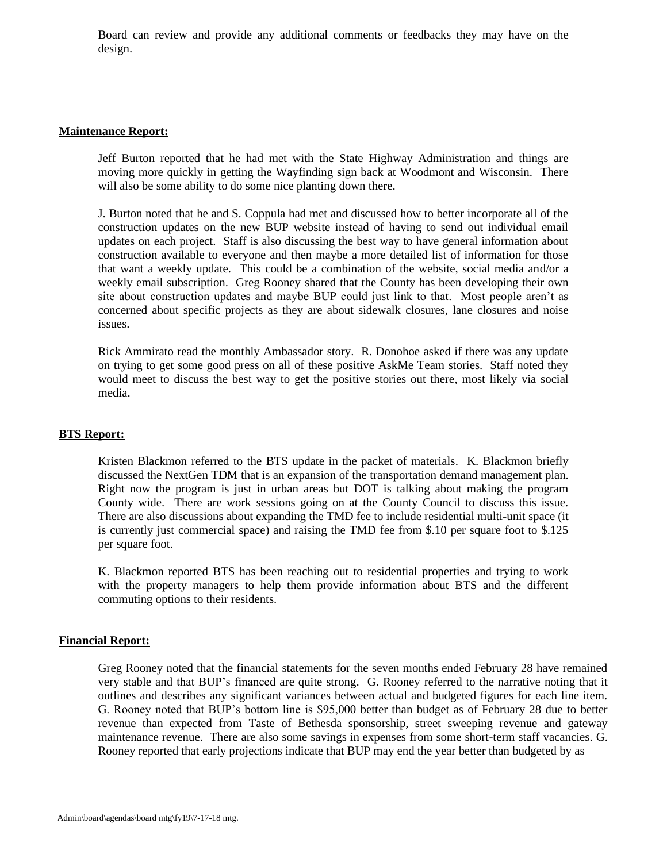Board can review and provide any additional comments or feedbacks they may have on the design.

### **Maintenance Report:**

Jeff Burton reported that he had met with the State Highway Administration and things are moving more quickly in getting the Wayfinding sign back at Woodmont and Wisconsin. There will also be some ability to do some nice planting down there.

J. Burton noted that he and S. Coppula had met and discussed how to better incorporate all of the construction updates on the new BUP website instead of having to send out individual email updates on each project. Staff is also discussing the best way to have general information about construction available to everyone and then maybe a more detailed list of information for those that want a weekly update. This could be a combination of the website, social media and/or a weekly email subscription. Greg Rooney shared that the County has been developing their own site about construction updates and maybe BUP could just link to that. Most people aren't as concerned about specific projects as they are about sidewalk closures, lane closures and noise issues.

Rick Ammirato read the monthly Ambassador story. R. Donohoe asked if there was any update on trying to get some good press on all of these positive AskMe Team stories. Staff noted they would meet to discuss the best way to get the positive stories out there, most likely via social media.

## **BTS Report:**

Kristen Blackmon referred to the BTS update in the packet of materials. K. Blackmon briefly discussed the NextGen TDM that is an expansion of the transportation demand management plan. Right now the program is just in urban areas but DOT is talking about making the program County wide. There are work sessions going on at the County Council to discuss this issue. There are also discussions about expanding the TMD fee to include residential multi-unit space (it is currently just commercial space) and raising the TMD fee from \$.10 per square foot to \$.125 per square foot.

K. Blackmon reported BTS has been reaching out to residential properties and trying to work with the property managers to help them provide information about BTS and the different commuting options to their residents.

### **Financial Report:**

Greg Rooney noted that the financial statements for the seven months ended February 28 have remained very stable and that BUP's financed are quite strong. G. Rooney referred to the narrative noting that it outlines and describes any significant variances between actual and budgeted figures for each line item. G. Rooney noted that BUP's bottom line is \$95,000 better than budget as of February 28 due to better revenue than expected from Taste of Bethesda sponsorship, street sweeping revenue and gateway maintenance revenue. There are also some savings in expenses from some short-term staff vacancies. G. Rooney reported that early projections indicate that BUP may end the year better than budgeted by as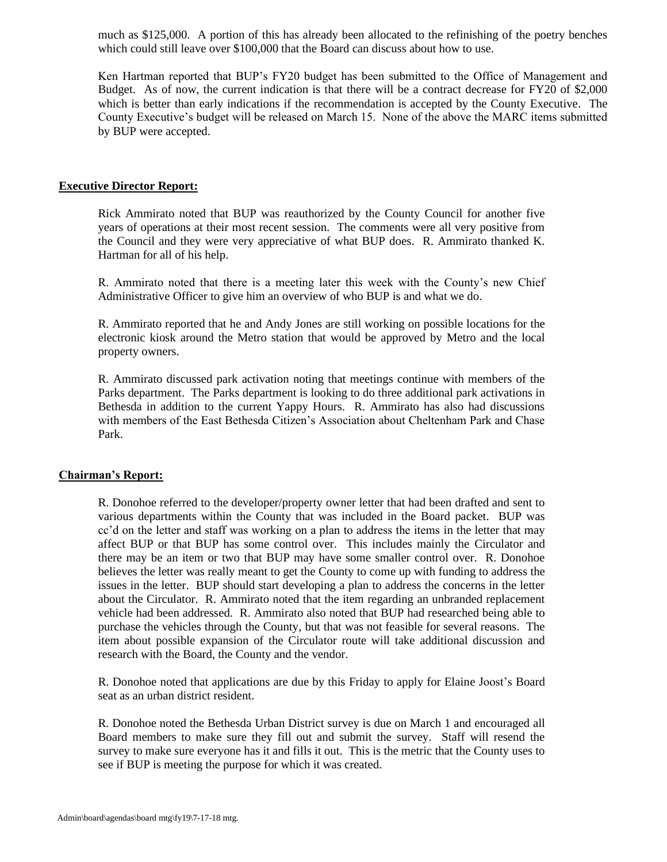much as \$125,000. A portion of this has already been allocated to the refinishing of the poetry benches which could still leave over \$100,000 that the Board can discuss about how to use.

Ken Hartman reported that BUP's FY20 budget has been submitted to the Office of Management and Budget. As of now, the current indication is that there will be a contract decrease for FY20 of \$2,000 which is better than early indications if the recommendation is accepted by the County Executive. The County Executive's budget will be released on March 15. None of the above the MARC items submitted by BUP were accepted.

### **Executive Director Report:**

Rick Ammirato noted that BUP was reauthorized by the County Council for another five years of operations at their most recent session. The comments were all very positive from the Council and they were very appreciative of what BUP does. R. Ammirato thanked K. Hartman for all of his help.

R. Ammirato noted that there is a meeting later this week with the County's new Chief Administrative Officer to give him an overview of who BUP is and what we do.

R. Ammirato reported that he and Andy Jones are still working on possible locations for the electronic kiosk around the Metro station that would be approved by Metro and the local property owners.

R. Ammirato discussed park activation noting that meetings continue with members of the Parks department. The Parks department is looking to do three additional park activations in Bethesda in addition to the current Yappy Hours. R. Ammirato has also had discussions with members of the East Bethesda Citizen's Association about Cheltenham Park and Chase Park.

#### **Chairman's Report:**

R. Donohoe referred to the developer/property owner letter that had been drafted and sent to various departments within the County that was included in the Board packet. BUP was cc'd on the letter and staff was working on a plan to address the items in the letter that may affect BUP or that BUP has some control over. This includes mainly the Circulator and there may be an item or two that BUP may have some smaller control over. R. Donohoe believes the letter was really meant to get the County to come up with funding to address the issues in the letter. BUP should start developing a plan to address the concerns in the letter about the Circulator. R. Ammirato noted that the item regarding an unbranded replacement vehicle had been addressed. R. Ammirato also noted that BUP had researched being able to purchase the vehicles through the County, but that was not feasible for several reasons. The item about possible expansion of the Circulator route will take additional discussion and research with the Board, the County and the vendor.

R. Donohoe noted that applications are due by this Friday to apply for Elaine Joost's Board seat as an urban district resident.

R. Donohoe noted the Bethesda Urban District survey is due on March 1 and encouraged all Board members to make sure they fill out and submit the survey. Staff will resend the survey to make sure everyone has it and fills it out. This is the metric that the County uses to see if BUP is meeting the purpose for which it was created.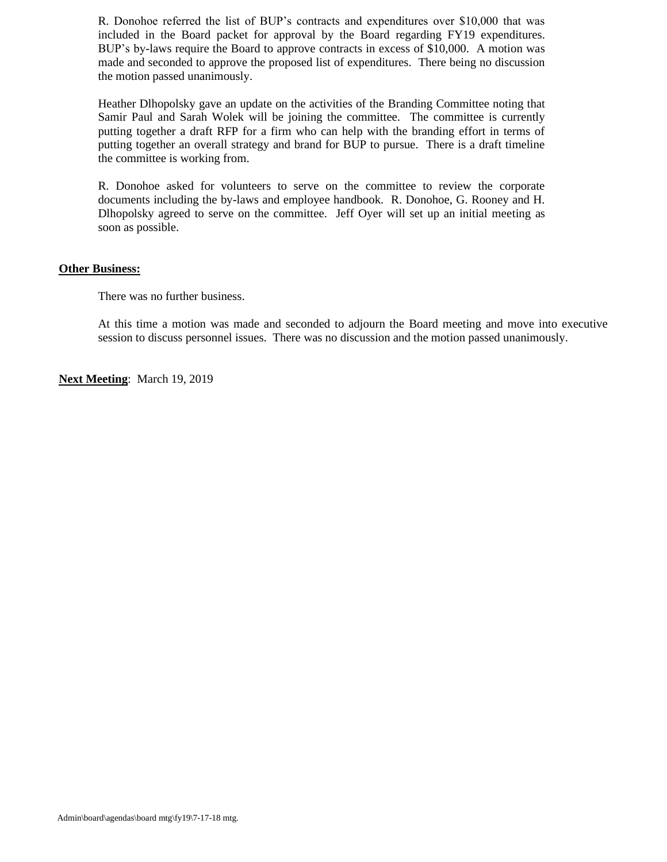R. Donohoe referred the list of BUP's contracts and expenditures over \$10,000 that was included in the Board packet for approval by the Board regarding FY19 expenditures. BUP's by-laws require the Board to approve contracts in excess of \$10,000. A motion was made and seconded to approve the proposed list of expenditures. There being no discussion the motion passed unanimously.

Heather Dlhopolsky gave an update on the activities of the Branding Committee noting that Samir Paul and Sarah Wolek will be joining the committee. The committee is currently putting together a draft RFP for a firm who can help with the branding effort in terms of putting together an overall strategy and brand for BUP to pursue. There is a draft timeline the committee is working from.

R. Donohoe asked for volunteers to serve on the committee to review the corporate documents including the by-laws and employee handbook. R. Donohoe, G. Rooney and H. Dlhopolsky agreed to serve on the committee. Jeff Oyer will set up an initial meeting as soon as possible.

### **Other Business:**

There was no further business.

At this time a motion was made and seconded to adjourn the Board meeting and move into executive session to discuss personnel issues. There was no discussion and the motion passed unanimously.

**Next Meeting**: March 19, 2019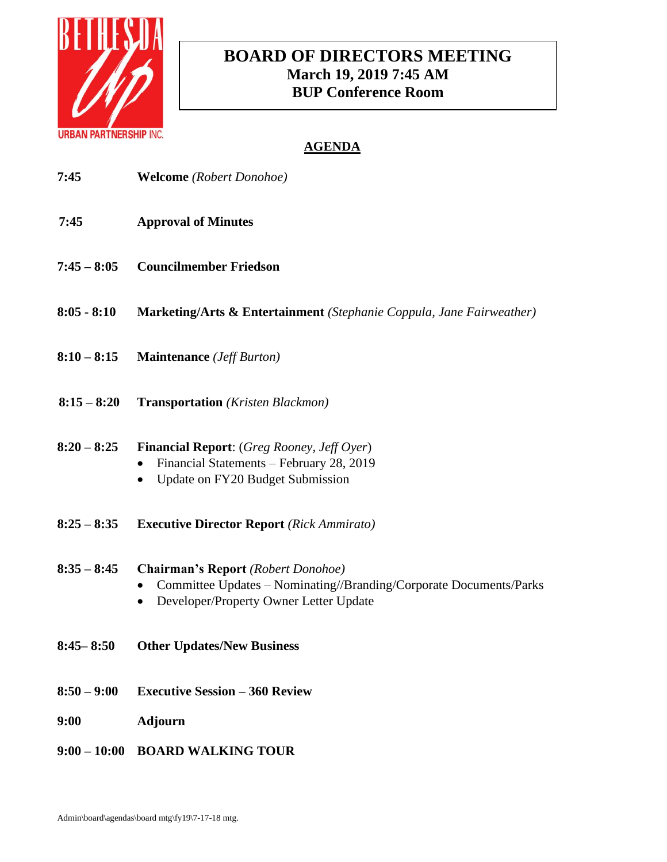

# **BOARD OF DIRECTORS MEETING March 19, 2019 7:45 AM BUP Conference Room**

| 7:45           | <b>Welcome</b> (Robert Donohoe)                                                                                                                           |
|----------------|-----------------------------------------------------------------------------------------------------------------------------------------------------------|
| 7:45           | <b>Approval of Minutes</b>                                                                                                                                |
| $7:45 - 8:05$  | <b>Councilmember Friedson</b>                                                                                                                             |
| $8:05 - 8:10$  | <b>Marketing/Arts &amp; Entertainment</b> (Stephanie Coppula, Jane Fairweather)                                                                           |
| $8:10 - 8:15$  | <b>Maintenance</b> ( <i>Jeff Burton</i> )                                                                                                                 |
| $8:15 - 8:20$  | <b>Transportation</b> (Kristen Blackmon)                                                                                                                  |
| $8:20 - 8:25$  | <b>Financial Report:</b> (Greg Rooney, Jeff Oyer)<br>Financial Statements - February 28, 2019<br>Update on FY20 Budget Submission                         |
| $8:25 - 8:35$  | <b>Executive Director Report</b> (Rick Ammirato)                                                                                                          |
| $8:35 - 8:45$  | <b>Chairman's Report</b> (Robert Donohoe)<br>Committee Updates - Nominating//Branding/Corporate Documents/Parks<br>Developer/Property Owner Letter Update |
| $8:45 - 8:50$  | <b>Other Updates/New Business</b>                                                                                                                         |
| $8:50 - 9:00$  | <b>Executive Session – 360 Review</b>                                                                                                                     |
| <b>9:00</b>    | <b>Adjourn</b>                                                                                                                                            |
| $9:00 - 10:00$ | <b>BOARD WALKING TOUR</b>                                                                                                                                 |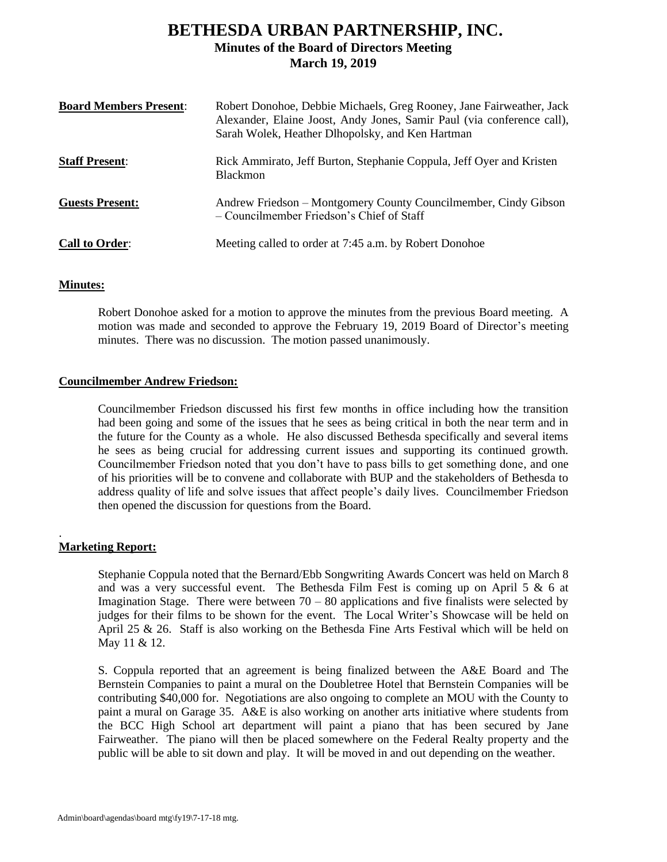# **BETHESDA URBAN PARTNERSHIP, INC. Minutes of the Board of Directors Meeting March 19, 2019**

| <b>Board Members Present:</b> | Robert Donohoe, Debbie Michaels, Greg Rooney, Jane Fairweather, Jack<br>Alexander, Elaine Joost, Andy Jones, Samir Paul (via conference call),<br>Sarah Wolek, Heather Dlhopolsky, and Ken Hartman |
|-------------------------------|----------------------------------------------------------------------------------------------------------------------------------------------------------------------------------------------------|
| <b>Staff Present:</b>         | Rick Ammirato, Jeff Burton, Stephanie Coppula, Jeff Oyer and Kristen<br><b>Blackmon</b>                                                                                                            |
| <b>Guests Present:</b>        | Andrew Friedson – Montgomery County Councilmember, Cindy Gibson<br>– Councilmember Friedson's Chief of Staff                                                                                       |
| <b>Call to Order:</b>         | Meeting called to order at 7:45 a.m. by Robert Donohoe                                                                                                                                             |

### **Minutes:**

Robert Donohoe asked for a motion to approve the minutes from the previous Board meeting. A motion was made and seconded to approve the February 19, 2019 Board of Director's meeting minutes. There was no discussion. The motion passed unanimously.

### **Councilmember Andrew Friedson:**

Councilmember Friedson discussed his first few months in office including how the transition had been going and some of the issues that he sees as being critical in both the near term and in the future for the County as a whole. He also discussed Bethesda specifically and several items he sees as being crucial for addressing current issues and supporting its continued growth. Councilmember Friedson noted that you don't have to pass bills to get something done, and one of his priorities will be to convene and collaborate with BUP and the stakeholders of Bethesda to address quality of life and solve issues that affect people's daily lives. Councilmember Friedson then opened the discussion for questions from the Board.

## **Marketing Report:**

.

Stephanie Coppula noted that the Bernard/Ebb Songwriting Awards Concert was held on March 8 and was a very successful event. The Bethesda Film Fest is coming up on April 5  $\&$  6 at Imagination Stage. There were between  $70 - 80$  applications and five finalists were selected by judges for their films to be shown for the event. The Local Writer's Showcase will be held on April 25 & 26. Staff is also working on the Bethesda Fine Arts Festival which will be held on May 11 & 12.

S. Coppula reported that an agreement is being finalized between the A&E Board and The Bernstein Companies to paint a mural on the Doubletree Hotel that Bernstein Companies will be contributing \$40,000 for. Negotiations are also ongoing to complete an MOU with the County to paint a mural on Garage 35. A&E is also working on another arts initiative where students from the BCC High School art department will paint a piano that has been secured by Jane Fairweather. The piano will then be placed somewhere on the Federal Realty property and the public will be able to sit down and play. It will be moved in and out depending on the weather.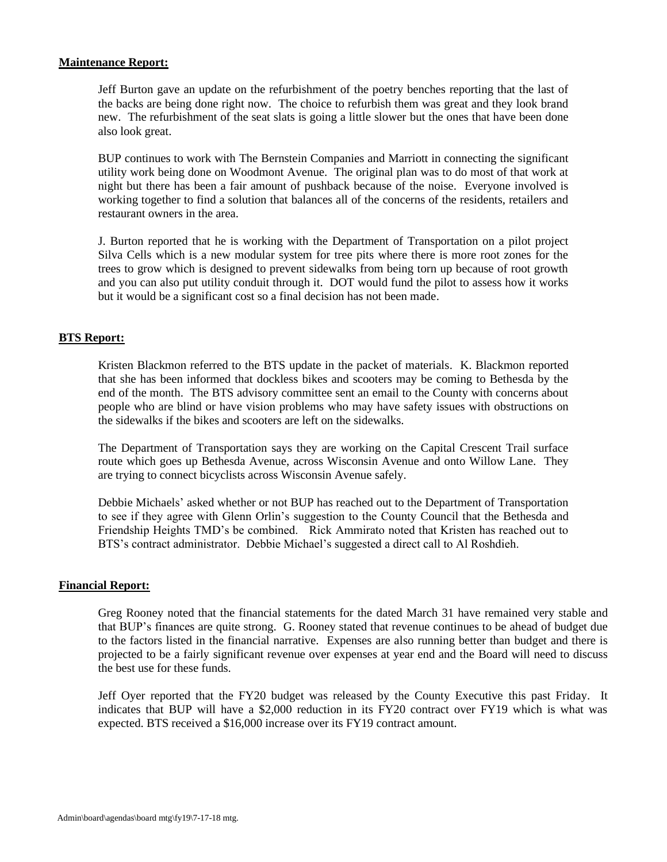### **Maintenance Report:**

Jeff Burton gave an update on the refurbishment of the poetry benches reporting that the last of the backs are being done right now. The choice to refurbish them was great and they look brand new. The refurbishment of the seat slats is going a little slower but the ones that have been done also look great.

BUP continues to work with The Bernstein Companies and Marriott in connecting the significant utility work being done on Woodmont Avenue. The original plan was to do most of that work at night but there has been a fair amount of pushback because of the noise. Everyone involved is working together to find a solution that balances all of the concerns of the residents, retailers and restaurant owners in the area.

J. Burton reported that he is working with the Department of Transportation on a pilot project Silva Cells which is a new modular system for tree pits where there is more root zones for the trees to grow which is designed to prevent sidewalks from being torn up because of root growth and you can also put utility conduit through it. DOT would fund the pilot to assess how it works but it would be a significant cost so a final decision has not been made.

### **BTS Report:**

Kristen Blackmon referred to the BTS update in the packet of materials. K. Blackmon reported that she has been informed that dockless bikes and scooters may be coming to Bethesda by the end of the month. The BTS advisory committee sent an email to the County with concerns about people who are blind or have vision problems who may have safety issues with obstructions on the sidewalks if the bikes and scooters are left on the sidewalks.

The Department of Transportation says they are working on the Capital Crescent Trail surface route which goes up Bethesda Avenue, across Wisconsin Avenue and onto Willow Lane. They are trying to connect bicyclists across Wisconsin Avenue safely.

Debbie Michaels' asked whether or not BUP has reached out to the Department of Transportation to see if they agree with Glenn Orlin's suggestion to the County Council that the Bethesda and Friendship Heights TMD's be combined. Rick Ammirato noted that Kristen has reached out to BTS's contract administrator. Debbie Michael's suggested a direct call to Al Roshdieh.

### **Financial Report:**

Greg Rooney noted that the financial statements for the dated March 31 have remained very stable and that BUP's finances are quite strong. G. Rooney stated that revenue continues to be ahead of budget due to the factors listed in the financial narrative. Expenses are also running better than budget and there is projected to be a fairly significant revenue over expenses at year end and the Board will need to discuss the best use for these funds.

Jeff Oyer reported that the FY20 budget was released by the County Executive this past Friday. It indicates that BUP will have a \$2,000 reduction in its FY20 contract over FY19 which is what was expected. BTS received a \$16,000 increase over its FY19 contract amount.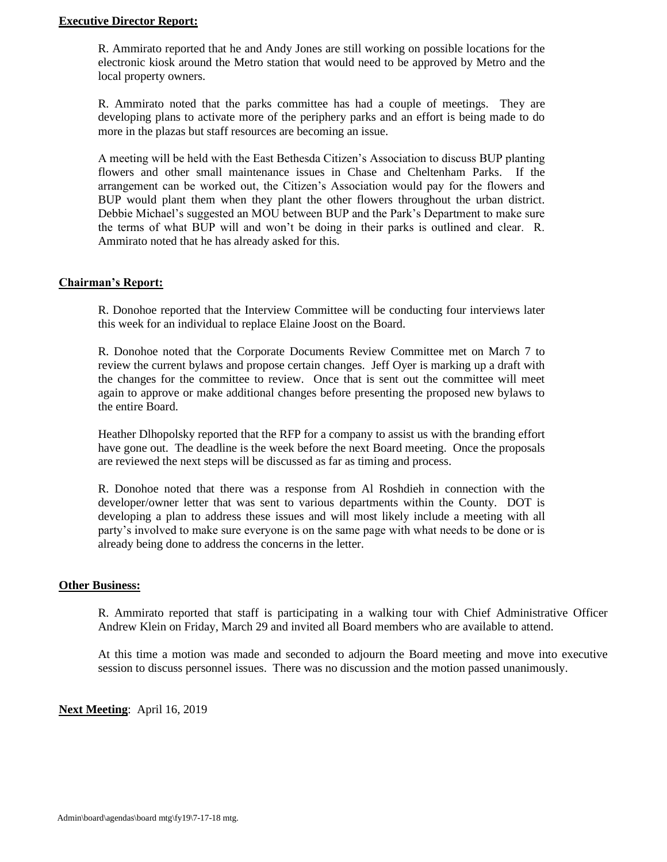### **Executive Director Report:**

R. Ammirato reported that he and Andy Jones are still working on possible locations for the electronic kiosk around the Metro station that would need to be approved by Metro and the local property owners.

R. Ammirato noted that the parks committee has had a couple of meetings. They are developing plans to activate more of the periphery parks and an effort is being made to do more in the plazas but staff resources are becoming an issue.

A meeting will be held with the East Bethesda Citizen's Association to discuss BUP planting flowers and other small maintenance issues in Chase and Cheltenham Parks. If the arrangement can be worked out, the Citizen's Association would pay for the flowers and BUP would plant them when they plant the other flowers throughout the urban district. Debbie Michael's suggested an MOU between BUP and the Park's Department to make sure the terms of what BUP will and won't be doing in their parks is outlined and clear. R. Ammirato noted that he has already asked for this.

### **Chairman's Report:**

R. Donohoe reported that the Interview Committee will be conducting four interviews later this week for an individual to replace Elaine Joost on the Board.

R. Donohoe noted that the Corporate Documents Review Committee met on March 7 to review the current bylaws and propose certain changes. Jeff Oyer is marking up a draft with the changes for the committee to review. Once that is sent out the committee will meet again to approve or make additional changes before presenting the proposed new bylaws to the entire Board.

Heather Dlhopolsky reported that the RFP for a company to assist us with the branding effort have gone out. The deadline is the week before the next Board meeting. Once the proposals are reviewed the next steps will be discussed as far as timing and process.

R. Donohoe noted that there was a response from Al Roshdieh in connection with the developer/owner letter that was sent to various departments within the County. DOT is developing a plan to address these issues and will most likely include a meeting with all party's involved to make sure everyone is on the same page with what needs to be done or is already being done to address the concerns in the letter.

### **Other Business:**

R. Ammirato reported that staff is participating in a walking tour with Chief Administrative Officer Andrew Klein on Friday, March 29 and invited all Board members who are available to attend.

At this time a motion was made and seconded to adjourn the Board meeting and move into executive session to discuss personnel issues. There was no discussion and the motion passed unanimously.

**Next Meeting**: April 16, 2019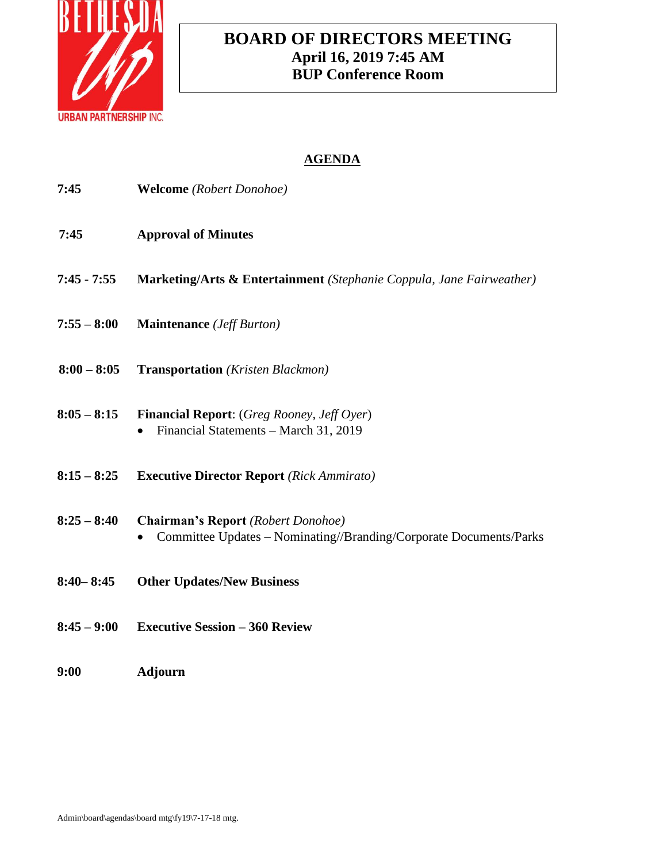

# **BOARD OF DIRECTORS MEETING April 16, 2019 7:45 AM BUP Conference Room**

| 7:45          | <b>Welcome</b> (Robert Donohoe)                                                                                 |
|---------------|-----------------------------------------------------------------------------------------------------------------|
| 7:45          | <b>Approval of Minutes</b>                                                                                      |
| $7:45 - 7:55$ | Marketing/Arts & Entertainment (Stephanie Coppula, Jane Fairweather)                                            |
| $7:55 - 8:00$ | <b>Maintenance</b> ( <i>Jeff Burton</i> )                                                                       |
| $8:00 - 8:05$ | <b>Transportation</b> (Kristen Blackmon)                                                                        |
| $8:05 - 8:15$ | <b>Financial Report:</b> (Greg Rooney, Jeff Oyer)<br>Financial Statements - March 31, 2019                      |
| $8:15 - 8:25$ | <b>Executive Director Report</b> (Rick Ammirato)                                                                |
| $8:25 - 8:40$ | <b>Chairman's Report</b> (Robert Donohoe)<br>Committee Updates - Nominating//Branding/Corporate Documents/Parks |
| $8:40 - 8:45$ | <b>Other Updates/New Business</b>                                                                               |
| $8:45 - 9:00$ | <b>Executive Session - 360 Review</b>                                                                           |
| 9:00          | Adjourn                                                                                                         |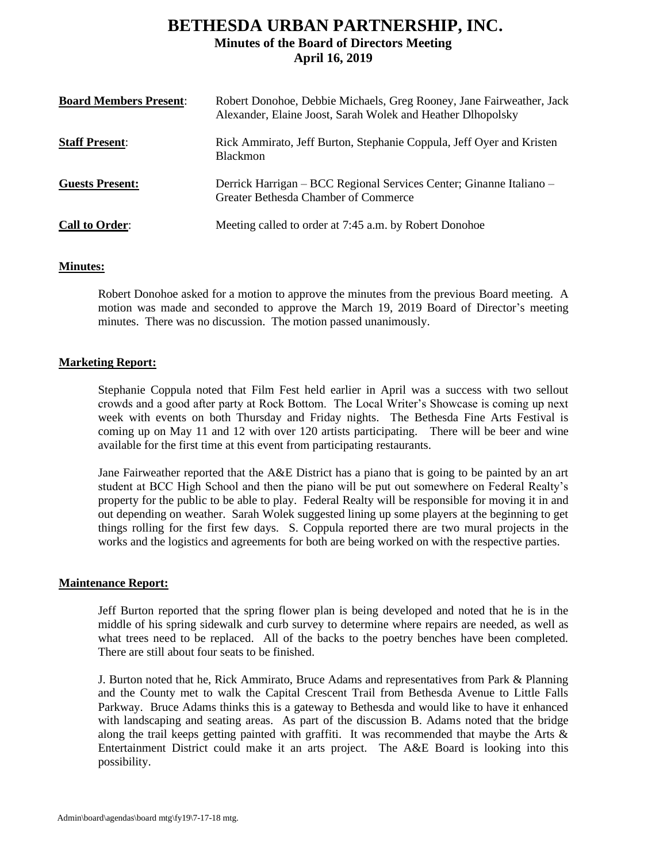# **BETHESDA URBAN PARTNERSHIP, INC. Minutes of the Board of Directors Meeting April 16, 2019**

| <b>Board Members Present:</b> | Robert Donohoe, Debbie Michaels, Greg Rooney, Jane Fairweather, Jack<br>Alexander, Elaine Joost, Sarah Wolek and Heather Dlhopolsky |
|-------------------------------|-------------------------------------------------------------------------------------------------------------------------------------|
| <b>Staff Present:</b>         | Rick Ammirato, Jeff Burton, Stephanie Coppula, Jeff Oyer and Kristen<br><b>Blackmon</b>                                             |
| <b>Guests Present:</b>        | Derrick Harrigan – BCC Regional Services Center; Ginanne Italiano –<br>Greater Bethesda Chamber of Commerce                         |
| <b>Call to Order:</b>         | Meeting called to order at 7:45 a.m. by Robert Donohoe                                                                              |

## **Minutes:**

Robert Donohoe asked for a motion to approve the minutes from the previous Board meeting. A motion was made and seconded to approve the March 19, 2019 Board of Director's meeting minutes. There was no discussion. The motion passed unanimously.

### **Marketing Report:**

Stephanie Coppula noted that Film Fest held earlier in April was a success with two sellout crowds and a good after party at Rock Bottom. The Local Writer's Showcase is coming up next week with events on both Thursday and Friday nights. The Bethesda Fine Arts Festival is coming up on May 11 and 12 with over 120 artists participating. There will be beer and wine available for the first time at this event from participating restaurants.

Jane Fairweather reported that the A&E District has a piano that is going to be painted by an art student at BCC High School and then the piano will be put out somewhere on Federal Realty's property for the public to be able to play. Federal Realty will be responsible for moving it in and out depending on weather. Sarah Wolek suggested lining up some players at the beginning to get things rolling for the first few days. S. Coppula reported there are two mural projects in the works and the logistics and agreements for both are being worked on with the respective parties.

### **Maintenance Report:**

Jeff Burton reported that the spring flower plan is being developed and noted that he is in the middle of his spring sidewalk and curb survey to determine where repairs are needed, as well as what trees need to be replaced. All of the backs to the poetry benches have been completed. There are still about four seats to be finished.

J. Burton noted that he, Rick Ammirato, Bruce Adams and representatives from Park & Planning and the County met to walk the Capital Crescent Trail from Bethesda Avenue to Little Falls Parkway. Bruce Adams thinks this is a gateway to Bethesda and would like to have it enhanced with landscaping and seating areas. As part of the discussion B. Adams noted that the bridge along the trail keeps getting painted with graffiti. It was recommended that maybe the Arts  $\&$ Entertainment District could make it an arts project. The A&E Board is looking into this possibility.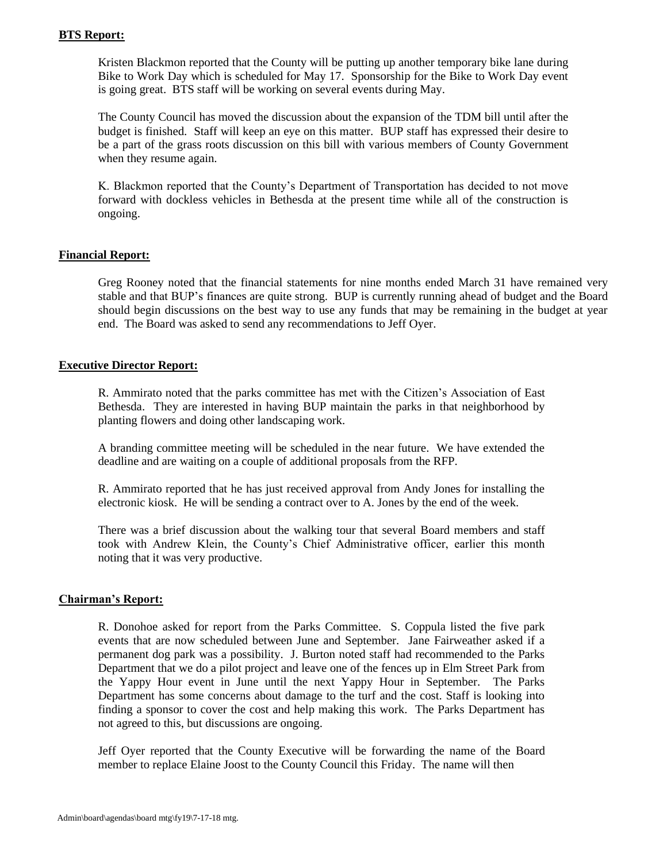### **BTS Report:**

Kristen Blackmon reported that the County will be putting up another temporary bike lane during Bike to Work Day which is scheduled for May 17. Sponsorship for the Bike to Work Day event is going great. BTS staff will be working on several events during May.

The County Council has moved the discussion about the expansion of the TDM bill until after the budget is finished. Staff will keep an eye on this matter. BUP staff has expressed their desire to be a part of the grass roots discussion on this bill with various members of County Government when they resume again.

K. Blackmon reported that the County's Department of Transportation has decided to not move forward with dockless vehicles in Bethesda at the present time while all of the construction is ongoing.

## **Financial Report:**

Greg Rooney noted that the financial statements for nine months ended March 31 have remained very stable and that BUP's finances are quite strong. BUP is currently running ahead of budget and the Board should begin discussions on the best way to use any funds that may be remaining in the budget at year end. The Board was asked to send any recommendations to Jeff Oyer.

### **Executive Director Report:**

R. Ammirato noted that the parks committee has met with the Citizen's Association of East Bethesda. They are interested in having BUP maintain the parks in that neighborhood by planting flowers and doing other landscaping work.

A branding committee meeting will be scheduled in the near future. We have extended the deadline and are waiting on a couple of additional proposals from the RFP.

R. Ammirato reported that he has just received approval from Andy Jones for installing the electronic kiosk. He will be sending a contract over to A. Jones by the end of the week.

There was a brief discussion about the walking tour that several Board members and staff took with Andrew Klein, the County's Chief Administrative officer, earlier this month noting that it was very productive.

### **Chairman's Report:**

R. Donohoe asked for report from the Parks Committee. S. Coppula listed the five park events that are now scheduled between June and September. Jane Fairweather asked if a permanent dog park was a possibility. J. Burton noted staff had recommended to the Parks Department that we do a pilot project and leave one of the fences up in Elm Street Park from the Yappy Hour event in June until the next Yappy Hour in September. The Parks Department has some concerns about damage to the turf and the cost. Staff is looking into finding a sponsor to cover the cost and help making this work. The Parks Department has not agreed to this, but discussions are ongoing.

Jeff Oyer reported that the County Executive will be forwarding the name of the Board member to replace Elaine Joost to the County Council this Friday. The name will then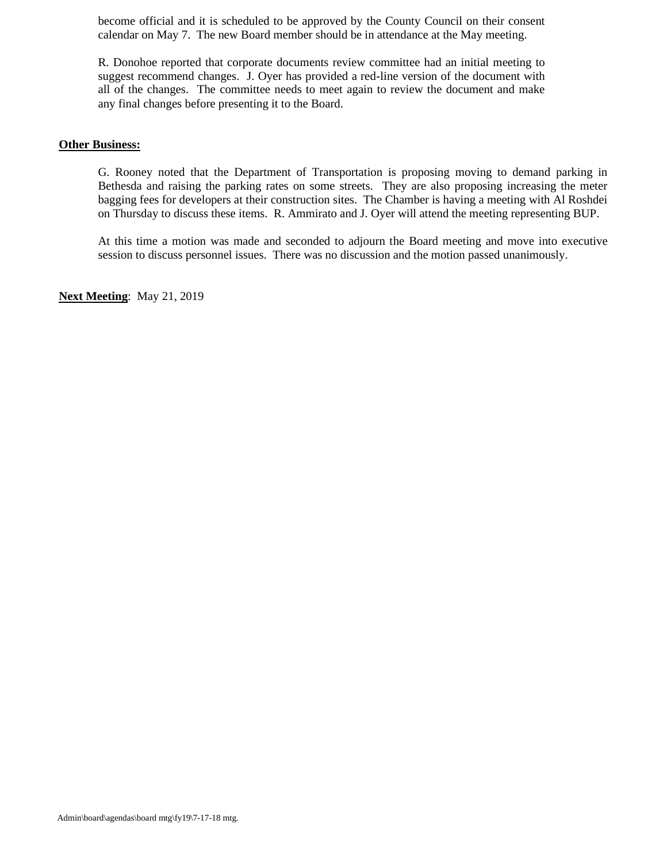become official and it is scheduled to be approved by the County Council on their consent calendar on May 7. The new Board member should be in attendance at the May meeting.

R. Donohoe reported that corporate documents review committee had an initial meeting to suggest recommend changes. J. Oyer has provided a red-line version of the document with all of the changes. The committee needs to meet again to review the document and make any final changes before presenting it to the Board.

### **Other Business:**

G. Rooney noted that the Department of Transportation is proposing moving to demand parking in Bethesda and raising the parking rates on some streets. They are also proposing increasing the meter bagging fees for developers at their construction sites. The Chamber is having a meeting with Al Roshdei on Thursday to discuss these items. R. Ammirato and J. Oyer will attend the meeting representing BUP.

At this time a motion was made and seconded to adjourn the Board meeting and move into executive session to discuss personnel issues. There was no discussion and the motion passed unanimously.

**Next Meeting**: May 21, 2019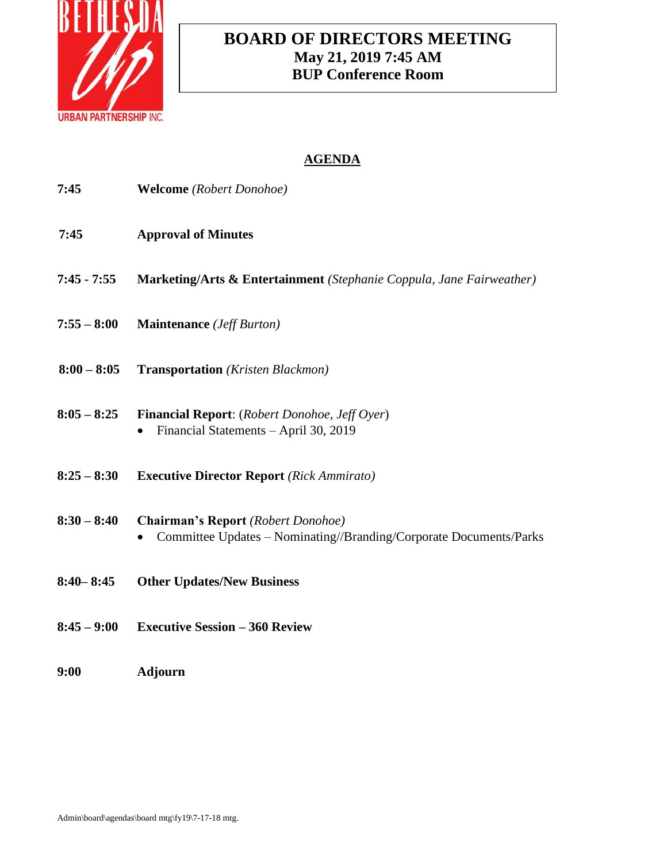

# **BOARD OF DIRECTORS MEETING May 21, 2019 7:45 AM BUP Conference Room**

| 7:45          | <b>Welcome</b> (Robert Donohoe)                                                                                 |
|---------------|-----------------------------------------------------------------------------------------------------------------|
| 7:45          | <b>Approval of Minutes</b>                                                                                      |
| $7:45 - 7:55$ | Marketing/Arts & Entertainment (Stephanie Coppula, Jane Fairweather)                                            |
| $7:55 - 8:00$ | <b>Maintenance</b> ( <i>Jeff Burton</i> )                                                                       |
| $8:00 - 8:05$ | <b>Transportation</b> (Kristen Blackmon)                                                                        |
| $8:05 - 8:25$ | <b>Financial Report:</b> (Robert Donohoe, Jeff Oyer)<br>Financial Statements - April 30, 2019                   |
| $8:25 - 8:30$ | <b>Executive Director Report</b> (Rick Ammirato)                                                                |
| $8:30 - 8:40$ | <b>Chairman's Report</b> (Robert Donohoe)<br>Committee Updates - Nominating//Branding/Corporate Documents/Parks |
| $8:40 - 8:45$ | <b>Other Updates/New Business</b>                                                                               |
| $8:45 - 9:00$ | <b>Executive Session - 360 Review</b>                                                                           |
| 9:00          | <b>Adjourn</b>                                                                                                  |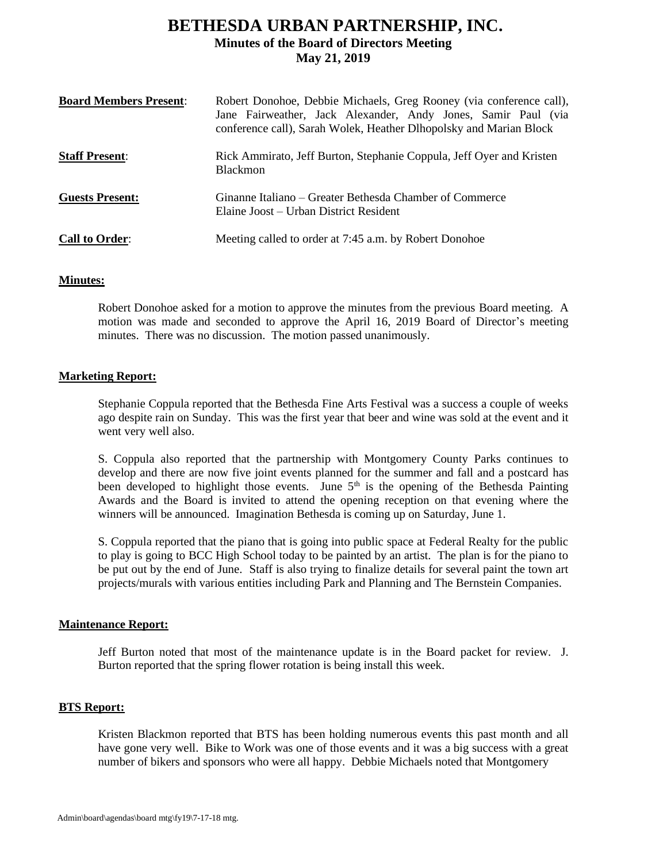# **BETHESDA URBAN PARTNERSHIP, INC. Minutes of the Board of Directors Meeting May 21, 2019**

| <b>Board Members Present:</b> | Robert Donohoe, Debbie Michaels, Greg Rooney (via conference call),<br>Jane Fairweather, Jack Alexander, Andy Jones, Samir Paul (via<br>conference call), Sarah Wolek, Heather Dlhopolsky and Marian Block |
|-------------------------------|------------------------------------------------------------------------------------------------------------------------------------------------------------------------------------------------------------|
| <b>Staff Present:</b>         | Rick Ammirato, Jeff Burton, Stephanie Coppula, Jeff Oyer and Kristen<br><b>Blackmon</b>                                                                                                                    |
| <b>Guests Present:</b>        | Ginanne Italiano – Greater Bethesda Chamber of Commerce<br>Elaine Joost – Urban District Resident                                                                                                          |
| <b>Call to Order:</b>         | Meeting called to order at 7:45 a.m. by Robert Donohoe                                                                                                                                                     |

### **Minutes:**

Robert Donohoe asked for a motion to approve the minutes from the previous Board meeting. A motion was made and seconded to approve the April 16, 2019 Board of Director's meeting minutes. There was no discussion. The motion passed unanimously.

### **Marketing Report:**

Stephanie Coppula reported that the Bethesda Fine Arts Festival was a success a couple of weeks ago despite rain on Sunday. This was the first year that beer and wine was sold at the event and it went very well also.

S. Coppula also reported that the partnership with Montgomery County Parks continues to develop and there are now five joint events planned for the summer and fall and a postcard has been developed to highlight those events. June  $5<sup>th</sup>$  is the opening of the Bethesda Painting Awards and the Board is invited to attend the opening reception on that evening where the winners will be announced. Imagination Bethesda is coming up on Saturday, June 1.

S. Coppula reported that the piano that is going into public space at Federal Realty for the public to play is going to BCC High School today to be painted by an artist. The plan is for the piano to be put out by the end of June. Staff is also trying to finalize details for several paint the town art projects/murals with various entities including Park and Planning and The Bernstein Companies.

### **Maintenance Report:**

Jeff Burton noted that most of the maintenance update is in the Board packet for review. J. Burton reported that the spring flower rotation is being install this week.

### **BTS Report:**

Kristen Blackmon reported that BTS has been holding numerous events this past month and all have gone very well. Bike to Work was one of those events and it was a big success with a great number of bikers and sponsors who were all happy. Debbie Michaels noted that Montgomery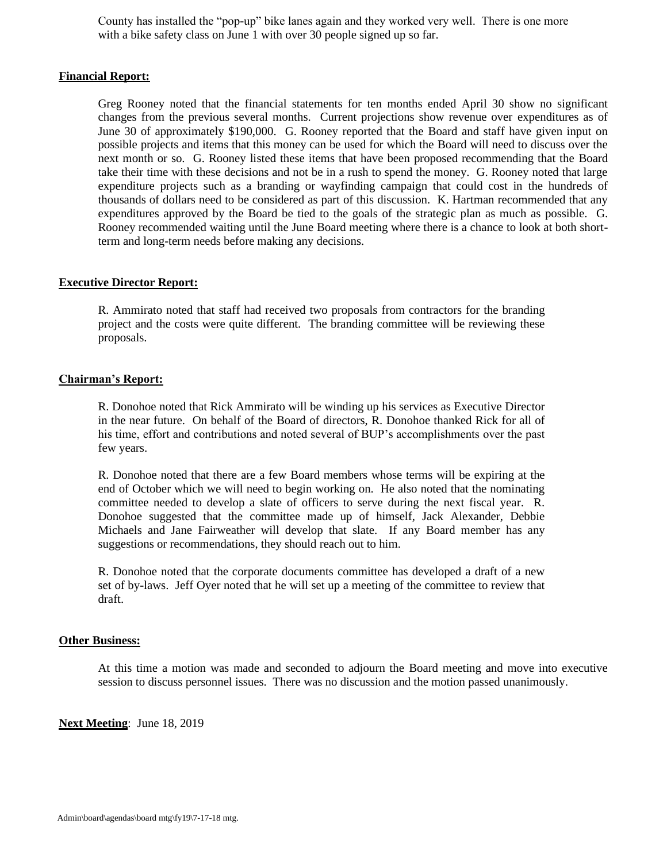County has installed the "pop-up" bike lanes again and they worked very well. There is one more with a bike safety class on June 1 with over 30 people signed up so far.

### **Financial Report:**

Greg Rooney noted that the financial statements for ten months ended April 30 show no significant changes from the previous several months. Current projections show revenue over expenditures as of June 30 of approximately \$190,000. G. Rooney reported that the Board and staff have given input on possible projects and items that this money can be used for which the Board will need to discuss over the next month or so. G. Rooney listed these items that have been proposed recommending that the Board take their time with these decisions and not be in a rush to spend the money. G. Rooney noted that large expenditure projects such as a branding or wayfinding campaign that could cost in the hundreds of thousands of dollars need to be considered as part of this discussion. K. Hartman recommended that any expenditures approved by the Board be tied to the goals of the strategic plan as much as possible. G. Rooney recommended waiting until the June Board meeting where there is a chance to look at both shortterm and long-term needs before making any decisions.

### **Executive Director Report:**

R. Ammirato noted that staff had received two proposals from contractors for the branding project and the costs were quite different. The branding committee will be reviewing these proposals.

### **Chairman's Report:**

R. Donohoe noted that Rick Ammirato will be winding up his services as Executive Director in the near future. On behalf of the Board of directors, R. Donohoe thanked Rick for all of his time, effort and contributions and noted several of BUP's accomplishments over the past few years.

R. Donohoe noted that there are a few Board members whose terms will be expiring at the end of October which we will need to begin working on. He also noted that the nominating committee needed to develop a slate of officers to serve during the next fiscal year. R. Donohoe suggested that the committee made up of himself, Jack Alexander, Debbie Michaels and Jane Fairweather will develop that slate. If any Board member has any suggestions or recommendations, they should reach out to him.

R. Donohoe noted that the corporate documents committee has developed a draft of a new set of by-laws. Jeff Oyer noted that he will set up a meeting of the committee to review that draft.

### **Other Business:**

At this time a motion was made and seconded to adjourn the Board meeting and move into executive session to discuss personnel issues. There was no discussion and the motion passed unanimously.

**Next Meeting**: June 18, 2019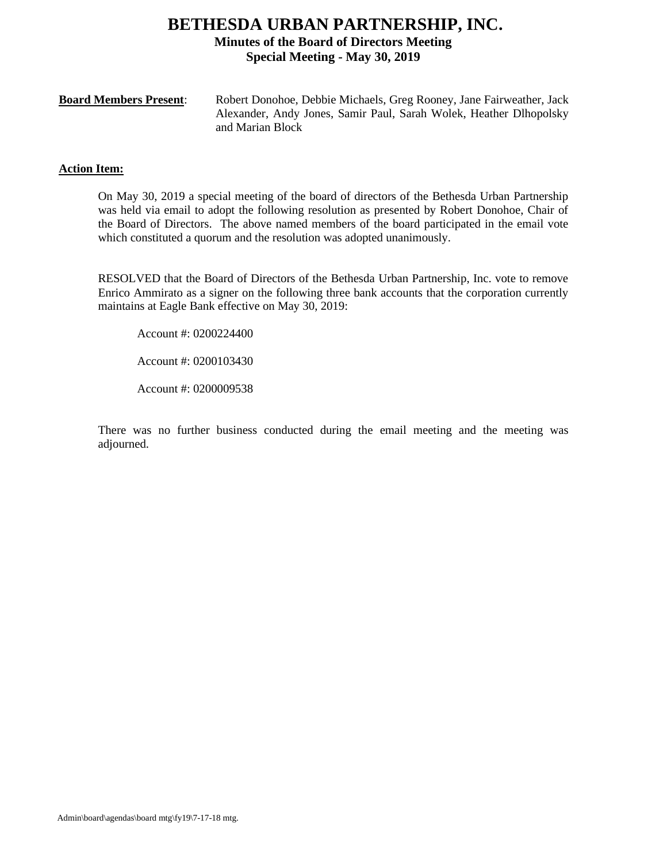## **BETHESDA URBAN PARTNERSHIP, INC. Minutes of the Board of Directors Meeting Special Meeting - May 30, 2019**

| <b>Board Members Present:</b> | Robert Donohoe, Debbie Michaels, Greg Rooney, Jane Fairweather, Jack |
|-------------------------------|----------------------------------------------------------------------|
|                               | Alexander, Andy Jones, Samir Paul, Sarah Wolek, Heather Dlhopolsky   |
|                               | and Marian Block                                                     |

### **Action Item:**

On May 30, 2019 a special meeting of the board of directors of the Bethesda Urban Partnership was held via email to adopt the following resolution as presented by Robert Donohoe, Chair of the Board of Directors. The above named members of the board participated in the email vote which constituted a quorum and the resolution was adopted unanimously.

RESOLVED that the Board of Directors of the Bethesda Urban Partnership, Inc. vote to remove Enrico Ammirato as a signer on the following three bank accounts that the corporation currently maintains at Eagle Bank effective on May 30, 2019:

Account #: 0200224400

Account #: 0200103430

Account #: 0200009538

There was no further business conducted during the email meeting and the meeting was adjourned.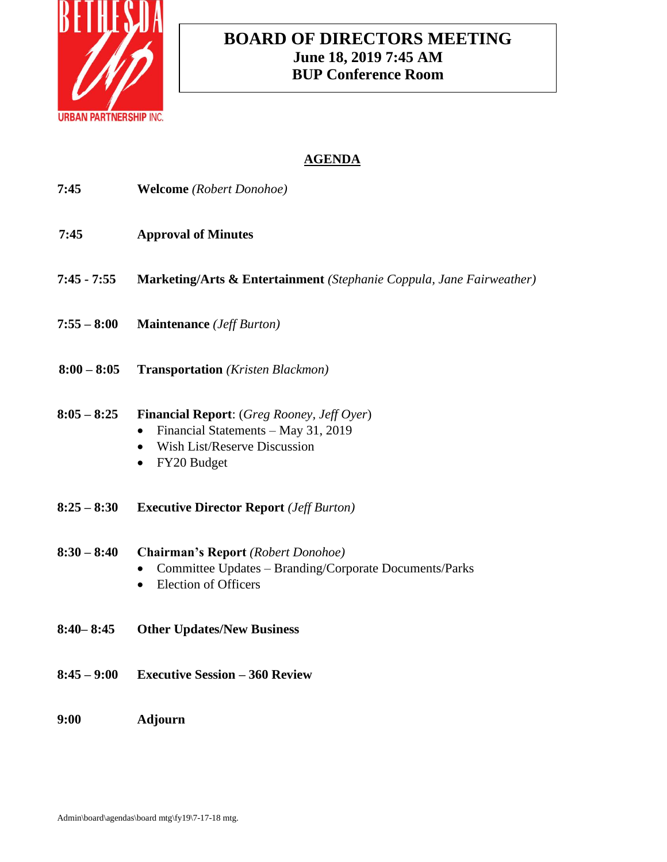

# **BOARD OF DIRECTORS MEETING June 18, 2019 7:45 AM BUP Conference Room**

| 7:45          | <b>Welcome</b> (Robert Donohoe)                                                                                                                                          |
|---------------|--------------------------------------------------------------------------------------------------------------------------------------------------------------------------|
| 7:45          | <b>Approval of Minutes</b>                                                                                                                                               |
| $7:45 - 7:55$ | Marketing/Arts & Entertainment (Stephanie Coppula, Jane Fairweather)                                                                                                     |
| $7:55 - 8:00$ | <b>Maintenance</b> ( <i>Jeff Burton</i> )                                                                                                                                |
| $8:00 - 8:05$ | <b>Transportation</b> (Kristen Blackmon)                                                                                                                                 |
| $8:05 - 8:25$ | <b>Financial Report:</b> (Greg Rooney, Jeff Oyer)<br>Financial Statements - May 31, 2019<br><b>Wish List/Reserve Discussion</b><br>$\bullet$<br>FY20 Budget<br>$\bullet$ |
| $8:25 - 8:30$ | <b>Executive Director Report</b> ( <i>Jeff Burton</i> )                                                                                                                  |
| $8:30 - 8:40$ | <b>Chairman's Report</b> (Robert Donohoe)<br>Committee Updates - Branding/Corporate Documents/Parks<br><b>Election of Officers</b>                                       |
| $8:40 - 8:45$ | <b>Other Updates/New Business</b>                                                                                                                                        |
| $8:45 - 9:00$ | <b>Executive Session - 360 Review</b>                                                                                                                                    |
| 9:00          | <b>Adjourn</b>                                                                                                                                                           |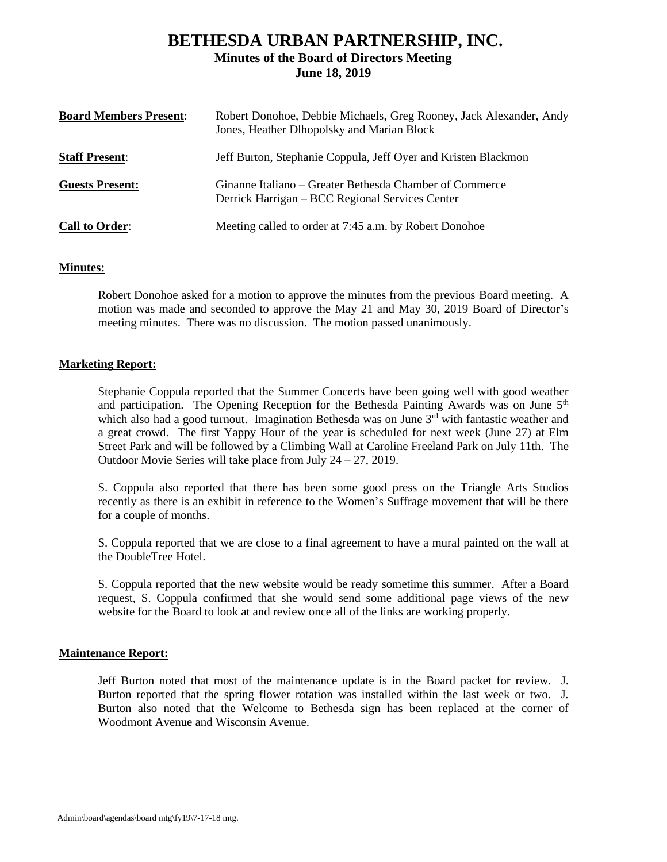## **BETHESDA URBAN PARTNERSHIP, INC. Minutes of the Board of Directors Meeting June 18, 2019**

| <b>Board Members Present:</b> | Robert Donohoe, Debbie Michaels, Greg Rooney, Jack Alexander, Andy<br>Jones, Heather Dlhopolsky and Marian Block |
|-------------------------------|------------------------------------------------------------------------------------------------------------------|
| <b>Staff Present:</b>         | Jeff Burton, Stephanie Coppula, Jeff Oyer and Kristen Blackmon                                                   |
| <b>Guests Present:</b>        | Ginanne Italiano – Greater Bethesda Chamber of Commerce<br>Derrick Harrigan – BCC Regional Services Center       |
| <b>Call to Order:</b>         | Meeting called to order at 7:45 a.m. by Robert Donohoe                                                           |

### **Minutes:**

Robert Donohoe asked for a motion to approve the minutes from the previous Board meeting. A motion was made and seconded to approve the May 21 and May 30, 2019 Board of Director's meeting minutes. There was no discussion. The motion passed unanimously.

### **Marketing Report:**

Stephanie Coppula reported that the Summer Concerts have been going well with good weather and participation. The Opening Reception for the Bethesda Painting Awards was on June  $5<sup>th</sup>$ which also had a good turnout. Imagination Bethesda was on June  $3<sup>rd</sup>$  with fantastic weather and a great crowd. The first Yappy Hour of the year is scheduled for next week (June 27) at Elm Street Park and will be followed by a Climbing Wall at Caroline Freeland Park on July 11th. The Outdoor Movie Series will take place from July 24 – 27, 2019.

S. Coppula also reported that there has been some good press on the Triangle Arts Studios recently as there is an exhibit in reference to the Women's Suffrage movement that will be there for a couple of months.

S. Coppula reported that we are close to a final agreement to have a mural painted on the wall at the DoubleTree Hotel.

S. Coppula reported that the new website would be ready sometime this summer. After a Board request, S. Coppula confirmed that she would send some additional page views of the new website for the Board to look at and review once all of the links are working properly.

### **Maintenance Report:**

Jeff Burton noted that most of the maintenance update is in the Board packet for review. J. Burton reported that the spring flower rotation was installed within the last week or two. J. Burton also noted that the Welcome to Bethesda sign has been replaced at the corner of Woodmont Avenue and Wisconsin Avenue.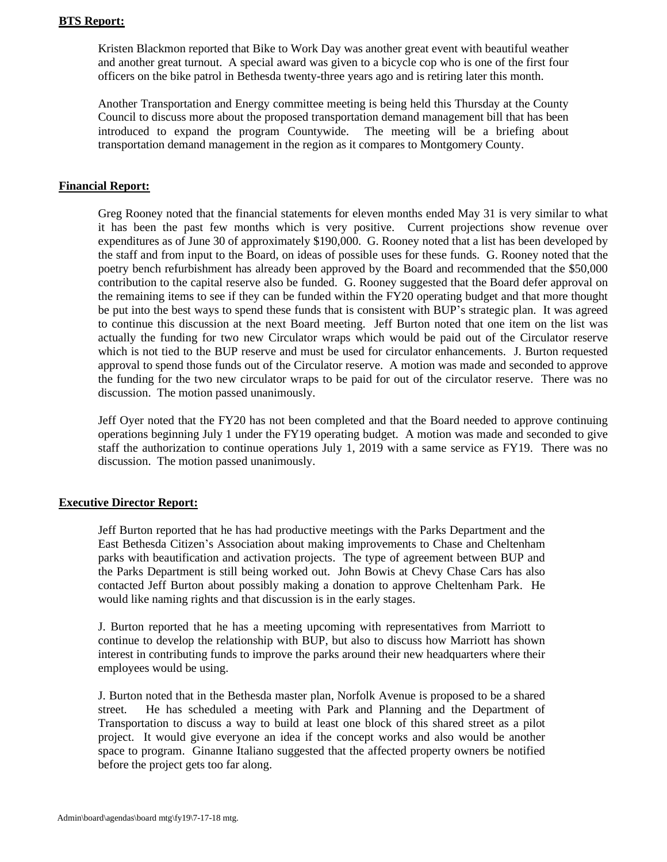### **BTS Report:**

Kristen Blackmon reported that Bike to Work Day was another great event with beautiful weather and another great turnout. A special award was given to a bicycle cop who is one of the first four officers on the bike patrol in Bethesda twenty-three years ago and is retiring later this month.

Another Transportation and Energy committee meeting is being held this Thursday at the County Council to discuss more about the proposed transportation demand management bill that has been introduced to expand the program Countywide. The meeting will be a briefing about transportation demand management in the region as it compares to Montgomery County.

### **Financial Report:**

Greg Rooney noted that the financial statements for eleven months ended May 31 is very similar to what it has been the past few months which is very positive. Current projections show revenue over expenditures as of June 30 of approximately \$190,000. G. Rooney noted that a list has been developed by the staff and from input to the Board, on ideas of possible uses for these funds. G. Rooney noted that the poetry bench refurbishment has already been approved by the Board and recommended that the \$50,000 contribution to the capital reserve also be funded. G. Rooney suggested that the Board defer approval on the remaining items to see if they can be funded within the FY20 operating budget and that more thought be put into the best ways to spend these funds that is consistent with BUP's strategic plan. It was agreed to continue this discussion at the next Board meeting. Jeff Burton noted that one item on the list was actually the funding for two new Circulator wraps which would be paid out of the Circulator reserve which is not tied to the BUP reserve and must be used for circulator enhancements. J. Burton requested approval to spend those funds out of the Circulator reserve. A motion was made and seconded to approve the funding for the two new circulator wraps to be paid for out of the circulator reserve. There was no discussion. The motion passed unanimously.

Jeff Oyer noted that the FY20 has not been completed and that the Board needed to approve continuing operations beginning July 1 under the FY19 operating budget. A motion was made and seconded to give staff the authorization to continue operations July 1, 2019 with a same service as FY19. There was no discussion. The motion passed unanimously.

### **Executive Director Report:**

Jeff Burton reported that he has had productive meetings with the Parks Department and the East Bethesda Citizen's Association about making improvements to Chase and Cheltenham parks with beautification and activation projects. The type of agreement between BUP and the Parks Department is still being worked out. John Bowis at Chevy Chase Cars has also contacted Jeff Burton about possibly making a donation to approve Cheltenham Park. He would like naming rights and that discussion is in the early stages.

J. Burton reported that he has a meeting upcoming with representatives from Marriott to continue to develop the relationship with BUP, but also to discuss how Marriott has shown interest in contributing funds to improve the parks around their new headquarters where their employees would be using.

J. Burton noted that in the Bethesda master plan, Norfolk Avenue is proposed to be a shared street. He has scheduled a meeting with Park and Planning and the Department of Transportation to discuss a way to build at least one block of this shared street as a pilot project. It would give everyone an idea if the concept works and also would be another space to program. Ginanne Italiano suggested that the affected property owners be notified before the project gets too far along.